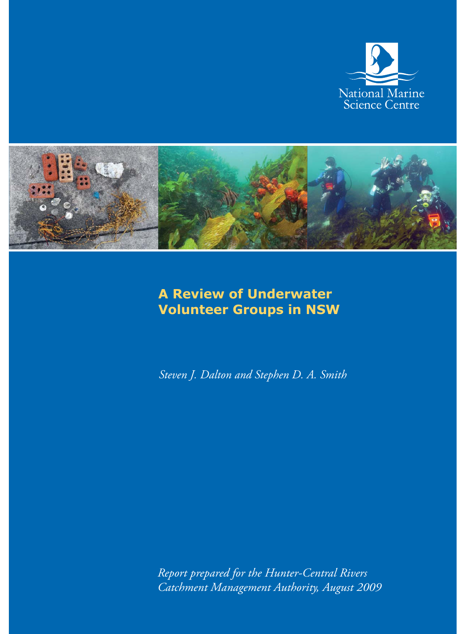



# **A Review of Underwater Volunteer Groups in NSW**

*Steven J. Dalton and Stephen D. A. Smith*

*Report prepared for the Hunter-Central Rivers Catchment Management Authority, August 2009*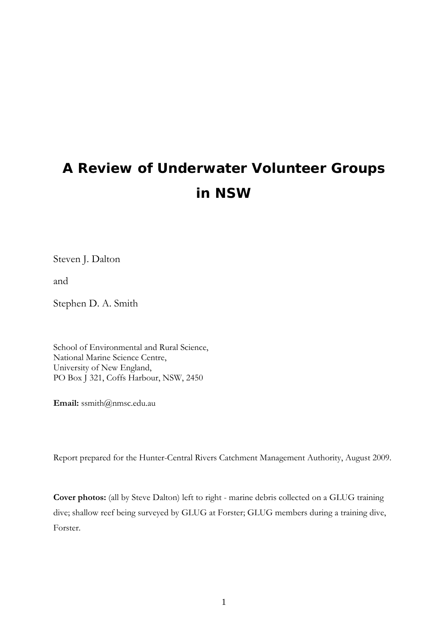# **A Review of Underwater Volunteer Groups in NSW**

Steven J. Dalton

and

Stephen D. A. Smith

School of Environmental and Rural Science, National Marine Science Centre, University of New England, PO Box J 321, Coffs Harbour, NSW, 2450

**Email:** ssmith@nmsc.edu.au

Report prepared for the Hunter-Central Rivers Catchment Management Authority, August 2009.

**Cover photos:** (all by Steve Dalton) left to right - marine debris collected on a GLUG training dive; shallow reef being surveyed by GLUG at Forster; GLUG members during a training dive, Forster.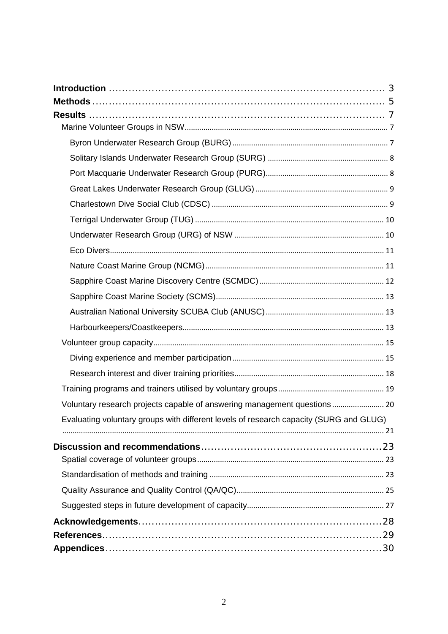| Evaluating voluntary groups with different levels of research capacity (SURG and GLUG) |
|----------------------------------------------------------------------------------------|
|                                                                                        |
|                                                                                        |
|                                                                                        |
|                                                                                        |
|                                                                                        |
|                                                                                        |
|                                                                                        |
|                                                                                        |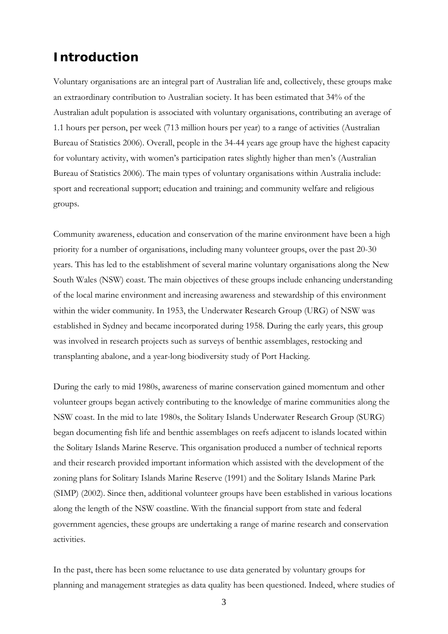## **Introduction**

Voluntary organisations are an integral part of Australian life and, collectively, these groups make an extraordinary contribution to Australian society. It has been estimated that 34% of the Australian adult population is associated with voluntary organisations, contributing an average of 1.1 hours per person, per week (713 million hours per year) to a range of activities (Australian Bureau of Statistics 2006). Overall, people in the 34-44 years age group have the highest capacity for voluntary activity, with women's participation rates slightly higher than men's (Australian Bureau of Statistics 2006). The main types of voluntary organisations within Australia include: sport and recreational support; education and training; and community welfare and religious groups.

Community awareness, education and conservation of the marine environment have been a high priority for a number of organisations, including many volunteer groups, over the past 20-30 years. This has led to the establishment of several marine voluntary organisations along the New South Wales (NSW) coast. The main objectives of these groups include enhancing understanding of the local marine environment and increasing awareness and stewardship of this environment within the wider community. In 1953, the Underwater Research Group (URG) of NSW was established in Sydney and became incorporated during 1958. During the early years, this group was involved in research projects such as surveys of benthic assemblages, restocking and transplanting abalone, and a year-long biodiversity study of Port Hacking.

During the early to mid 1980s, awareness of marine conservation gained momentum and other volunteer groups began actively contributing to the knowledge of marine communities along the NSW coast. In the mid to late 1980s, the Solitary Islands Underwater Research Group (SURG) began documenting fish life and benthic assemblages on reefs adjacent to islands located within the Solitary Islands Marine Reserve. This organisation produced a number of technical reports and their research provided important information which assisted with the development of the zoning plans for Solitary Islands Marine Reserve (1991) and the Solitary Islands Marine Park (SIMP) (2002). Since then, additional volunteer groups have been established in various locations along the length of the NSW coastline. With the financial support from state and federal government agencies, these groups are undertaking a range of marine research and conservation activities.

In the past, there has been some reluctance to use data generated by voluntary groups for planning and management strategies as data quality has been questioned. Indeed, where studies of

3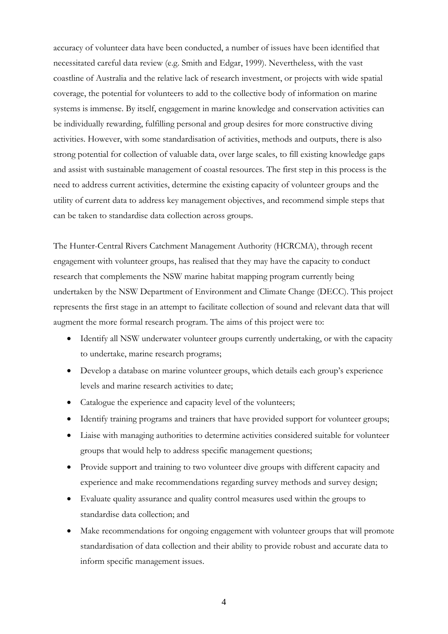accuracy of volunteer data have been conducted, a number of issues have been identified that necessitated careful data review (e.g. Smith and Edgar, 1999). Nevertheless, with the vast coastline of Australia and the relative lack of research investment, or projects with wide spatial coverage, the potential for volunteers to add to the collective body of information on marine systems is immense. By itself, engagement in marine knowledge and conservation activities can be individually rewarding, fulfilling personal and group desires for more constructive diving activities. However, with some standardisation of activities, methods and outputs, there is also strong potential for collection of valuable data, over large scales, to fill existing knowledge gaps and assist with sustainable management of coastal resources. The first step in this process is the need to address current activities, determine the existing capacity of volunteer groups and the utility of current data to address key management objectives, and recommend simple steps that can be taken to standardise data collection across groups.

The Hunter-Central Rivers Catchment Management Authority (HCRCMA), through recent engagement with volunteer groups, has realised that they may have the capacity to conduct research that complements the NSW marine habitat mapping program currently being undertaken by the NSW Department of Environment and Climate Change (DECC). This project represents the first stage in an attempt to facilitate collection of sound and relevant data that will augment the more formal research program. The aims of this project were to:

- Identify all NSW underwater volunteer groups currently undertaking, or with the capacity to undertake, marine research programs;
- Develop a database on marine volunteer groups, which details each group's experience levels and marine research activities to date;
- Catalogue the experience and capacity level of the volunteers;
- Identify training programs and trainers that have provided support for volunteer groups;
- Liaise with managing authorities to determine activities considered suitable for volunteer groups that would help to address specific management questions;
- Provide support and training to two volunteer dive groups with different capacity and experience and make recommendations regarding survey methods and survey design;
- Evaluate quality assurance and quality control measures used within the groups to standardise data collection; and
- Make recommendations for ongoing engagement with volunteer groups that will promote standardisation of data collection and their ability to provide robust and accurate data to inform specific management issues.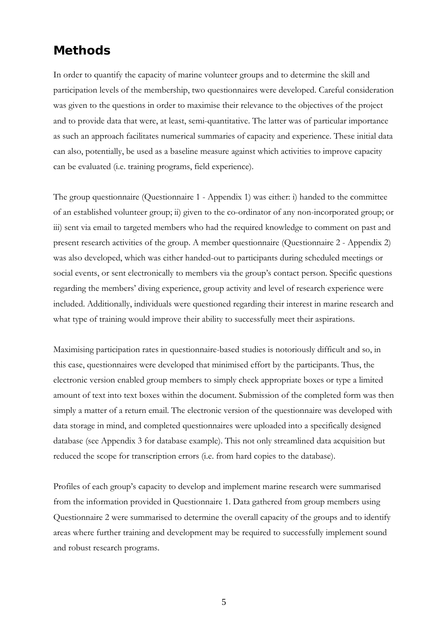## **Methods**

In order to quantify the capacity of marine volunteer groups and to determine the skill and participation levels of the membership, two questionnaires were developed. Careful consideration was given to the questions in order to maximise their relevance to the objectives of the project and to provide data that were, at least, semi-quantitative. The latter was of particular importance as such an approach facilitates numerical summaries of capacity and experience. These initial data can also, potentially, be used as a baseline measure against which activities to improve capacity can be evaluated (i.e. training programs, field experience).

The group questionnaire (Questionnaire 1 - Appendix 1) was either: i) handed to the committee of an established volunteer group; ii) given to the co-ordinator of any non-incorporated group; or iii) sent via email to targeted members who had the required knowledge to comment on past and present research activities of the group. A member questionnaire (Questionnaire 2 - Appendix 2) was also developed, which was either handed-out to participants during scheduled meetings or social events, or sent electronically to members via the group's contact person. Specific questions regarding the members' diving experience, group activity and level of research experience were included. Additionally, individuals were questioned regarding their interest in marine research and what type of training would improve their ability to successfully meet their aspirations.

Maximising participation rates in questionnaire-based studies is notoriously difficult and so, in this case, questionnaires were developed that minimised effort by the participants. Thus, the electronic version enabled group members to simply check appropriate boxes or type a limited amount of text into text boxes within the document. Submission of the completed form was then simply a matter of a return email. The electronic version of the questionnaire was developed with data storage in mind, and completed questionnaires were uploaded into a specifically designed database (see Appendix 3 for database example). This not only streamlined data acquisition but reduced the scope for transcription errors (i.e. from hard copies to the database).

Profiles of each group's capacity to develop and implement marine research were summarised from the information provided in Questionnaire 1. Data gathered from group members using Questionnaire 2 were summarised to determine the overall capacity of the groups and to identify areas where further training and development may be required to successfully implement sound and robust research programs.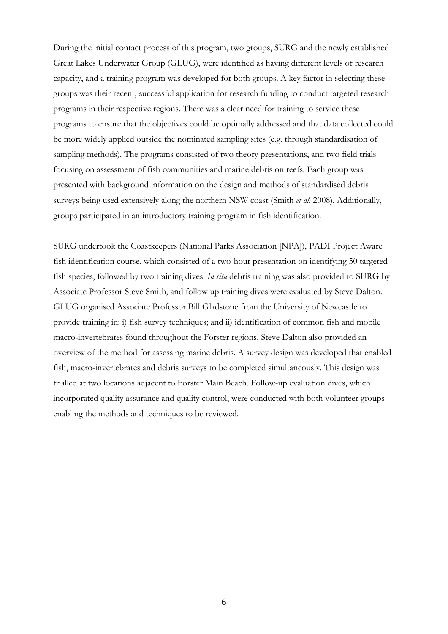During the initial contact process of this program, two groups, SURG and the newly established Great Lakes Underwater Group (GLUG), were identified as having different levels of research capacity, and a training program was developed for both groups. A key factor in selecting these groups was their recent, successful application for research funding to conduct targeted research programs in their respective regions. There was a clear need for training to service these programs to ensure that the objectives could be optimally addressed and that data collected could be more widely applied outside the nominated sampling sites (e.g. through standardisation of sampling methods). The programs consisted of two theory presentations, and two field trials focusing on assessment of fish communities and marine debris on reefs. Each group was presented with background information on the design and methods of standardised debris surveys being used extensively along the northern NSW coast (Smith *et al.* 2008). Additionally, groups participated in an introductory training program in fish identification.

SURG undertook the Coastkeepers (National Parks Association [NPA]), PADI Project Aware fish identification course, which consisted of a two-hour presentation on identifying 50 targeted fish species, followed by two training dives. *In situ* debris training was also provided to SURG by Associate Professor Steve Smith, and follow up training dives were evaluated by Steve Dalton. GLUG organised Associate Professor Bill Gladstone from the University of Newcastle to provide training in: i) fish survey techniques; and ii) identification of common fish and mobile macro-invertebrates found throughout the Forster regions. Steve Dalton also provided an overview of the method for assessing marine debris. A survey design was developed that enabled fish, macro-invertebrates and debris surveys to be completed simultaneously. This design was trialled at two locations adjacent to Forster Main Beach. Follow-up evaluation dives, which incorporated quality assurance and quality control, were conducted with both volunteer groups enabling the methods and techniques to be reviewed.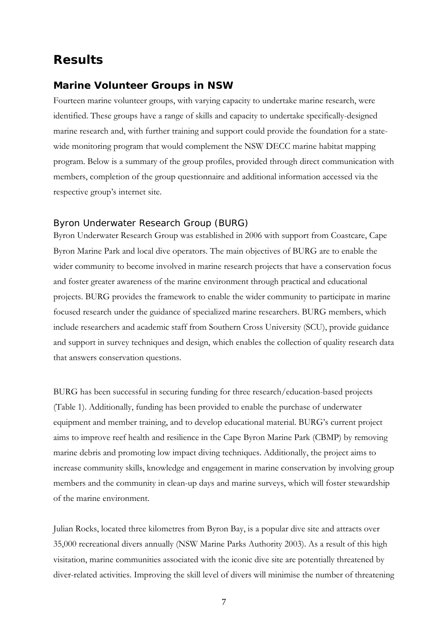## **Results**

#### **Marine Volunteer Groups in NSW**

Fourteen marine volunteer groups, with varying capacity to undertake marine research, were identified. These groups have a range of skills and capacity to undertake specifically-designed marine research and, with further training and support could provide the foundation for a statewide monitoring program that would complement the NSW DECC marine habitat mapping program. Below is a summary of the group profiles, provided through direct communication with members, completion of the group questionnaire and additional information accessed via the respective group's internet site.

#### *Byron Underwater Research Group (BURG)*

Byron Underwater Research Group was established in 2006 with support from Coastcare, Cape Byron Marine Park and local dive operators. The main objectives of BURG are to enable the wider community to become involved in marine research projects that have a conservation focus and foster greater awareness of the marine environment through practical and educational projects. BURG provides the framework to enable the wider community to participate in marine focused research under the guidance of specialized marine researchers. BURG members, which include researchers and academic staff from Southern Cross University (SCU), provide guidance and support in survey techniques and design, which enables the collection of quality research data that answers conservation questions.

BURG has been successful in securing funding for three research/education-based projects (Table 1). Additionally, funding has been provided to enable the purchase of underwater equipment and member training, and to develop educational material. BURG's current project aims to improve reef health and resilience in the Cape Byron Marine Park (CBMP) by removing marine debris and promoting low impact diving techniques. Additionally, the project aims to increase community skills, knowledge and engagement in marine conservation by involving group members and the community in clean-up days and marine surveys, which will foster stewardship of the marine environment.

Julian Rocks, located three kilometres from Byron Bay, is a popular dive site and attracts over 35,000 recreational divers annually (NSW Marine Parks Authority 2003). As a result of this high visitation, marine communities associated with the iconic dive site are potentially threatened by diver-related activities. Improving the skill level of divers will minimise the number of threatening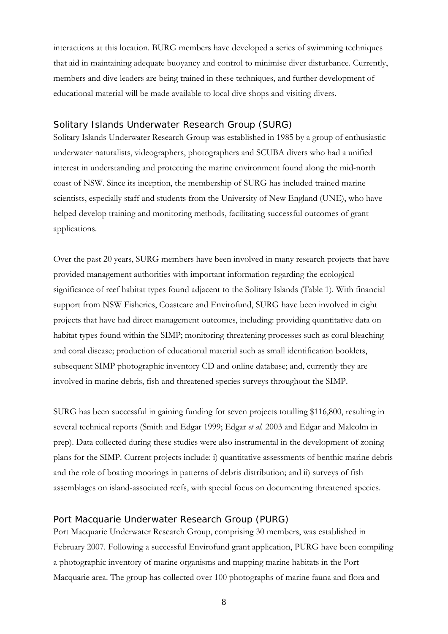interactions at this location. BURG members have developed a series of swimming techniques that aid in maintaining adequate buoyancy and control to minimise diver disturbance. Currently, members and dive leaders are being trained in these techniques, and further development of educational material will be made available to local dive shops and visiting divers.

#### *Solitary Islands Underwater Research Group (SURG)*

Solitary Islands Underwater Research Group was established in 1985 by a group of enthusiastic underwater naturalists, videographers, photographers and SCUBA divers who had a unified interest in understanding and protecting the marine environment found along the mid-north coast of NSW. Since its inception, the membership of SURG has included trained marine scientists, especially staff and students from the University of New England (UNE), who have helped develop training and monitoring methods, facilitating successful outcomes of grant applications.

Over the past 20 years, SURG members have been involved in many research projects that have provided management authorities with important information regarding the ecological significance of reef habitat types found adjacent to the Solitary Islands (Table 1). With financial support from NSW Fisheries, Coastcare and Envirofund, SURG have been involved in eight projects that have had direct management outcomes, including: providing quantitative data on habitat types found within the SIMP; monitoring threatening processes such as coral bleaching and coral disease; production of educational material such as small identification booklets, subsequent SIMP photographic inventory CD and online database; and, currently they are involved in marine debris, fish and threatened species surveys throughout the SIMP.

SURG has been successful in gaining funding for seven projects totalling \$116,800, resulting in several technical reports (Smith and Edgar 1999; Edgar *et al.* 2003 and Edgar and Malcolm in prep). Data collected during these studies were also instrumental in the development of zoning plans for the SIMP. Current projects include: i) quantitative assessments of benthic marine debris and the role of boating moorings in patterns of debris distribution; and ii) surveys of fish assemblages on island-associated reefs, with special focus on documenting threatened species.

#### *Port Macquarie Underwater Research Group (PURG)*

Port Macquarie Underwater Research Group, comprising 30 members, was established in February 2007. Following a successful Envirofund grant application, PURG have been compiling a photographic inventory of marine organisms and mapping marine habitats in the Port Macquarie area. The group has collected over 100 photographs of marine fauna and flora and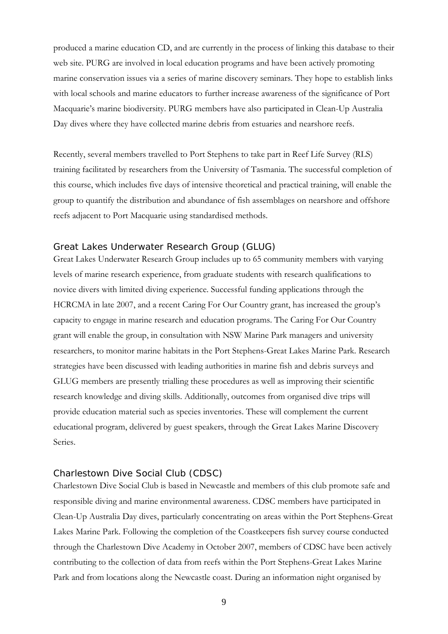produced a marine education CD, and are currently in the process of linking this database to their web site. PURG are involved in local education programs and have been actively promoting marine conservation issues via a series of marine discovery seminars. They hope to establish links with local schools and marine educators to further increase awareness of the significance of Port Macquarie's marine biodiversity. PURG members have also participated in Clean-Up Australia Day dives where they have collected marine debris from estuaries and nearshore reefs.

Recently, several members travelled to Port Stephens to take part in Reef Life Survey (RLS) training facilitated by researchers from the University of Tasmania. The successful completion of this course, which includes five days of intensive theoretical and practical training, will enable the group to quantify the distribution and abundance of fish assemblages on nearshore and offshore reefs adjacent to Port Macquarie using standardised methods.

#### *Great Lakes Underwater Research Group (GLUG)*

Great Lakes Underwater Research Group includes up to 65 community members with varying levels of marine research experience, from graduate students with research qualifications to novice divers with limited diving experience. Successful funding applications through the HCRCMA in late 2007, and a recent Caring For Our Country grant, has increased the group's capacity to engage in marine research and education programs. The Caring For Our Country grant will enable the group, in consultation with NSW Marine Park managers and university researchers, to monitor marine habitats in the Port Stephens-Great Lakes Marine Park. Research strategies have been discussed with leading authorities in marine fish and debris surveys and GLUG members are presently trialling these procedures as well as improving their scientific research knowledge and diving skills. Additionally, outcomes from organised dive trips will provide education material such as species inventories. These will complement the current educational program, delivered by guest speakers, through the Great Lakes Marine Discovery Series.

#### *Charlestown Dive Social Club (CDSC)*

Charlestown Dive Social Club is based in Newcastle and members of this club promote safe and responsible diving and marine environmental awareness. CDSC members have participated in Clean-Up Australia Day dives, particularly concentrating on areas within the Port Stephens-Great Lakes Marine Park. Following the completion of the Coastkeepers fish survey course conducted through the Charlestown Dive Academy in October 2007, members of CDSC have been actively contributing to the collection of data from reefs within the Port Stephens-Great Lakes Marine Park and from locations along the Newcastle coast. During an information night organised by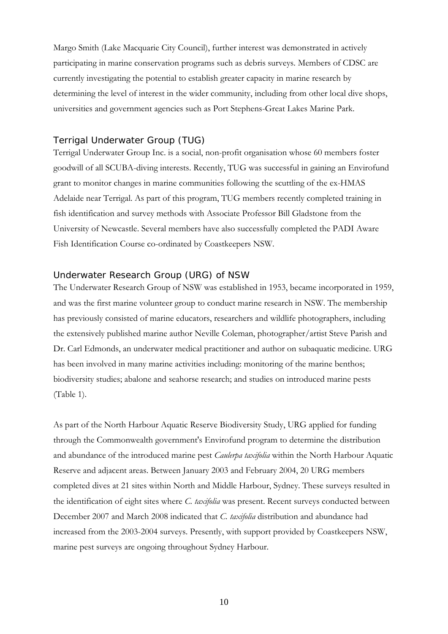Margo Smith (Lake Macquarie City Council), further interest was demonstrated in actively participating in marine conservation programs such as debris surveys. Members of CDSC are currently investigating the potential to establish greater capacity in marine research by determining the level of interest in the wider community, including from other local dive shops, universities and government agencies such as Port Stephens-Great Lakes Marine Park.

#### *Terrigal Underwater Group (TUG)*

Terrigal Underwater Group Inc. is a social, non-profit organisation whose 60 members foster goodwill of all SCUBA-diving interests. Recently, TUG was successful in gaining an Envirofund grant to monitor changes in marine communities following the scuttling of the ex-HMAS Adelaide near Terrigal. As part of this program, TUG members recently completed training in fish identification and survey methods with Associate Professor Bill Gladstone from the University of Newcastle. Several members have also successfully completed the PADI Aware Fish Identification Course co-ordinated by Coastkeepers NSW.

#### *Underwater Research Group (URG) of NSW*

The Underwater Research Group of NSW was established in 1953, became incorporated in 1959, and was the first marine volunteer group to conduct marine research in NSW. The membership has previously consisted of marine educators, researchers and wildlife photographers, including the extensively published marine author Neville Coleman, photographer/artist Steve Parish and Dr. Carl Edmonds, an underwater medical practitioner and author on subaquatic medicine. URG has been involved in many marine activities including: monitoring of the marine benthos; biodiversity studies; abalone and seahorse research; and studies on introduced marine pests (Table 1).

As part of the North Harbour Aquatic Reserve Biodiversity Study, URG applied for funding through the Commonwealth government's Envirofund program to determine the distribution and abundance of the introduced marine pest *Caulerpa taxifolia* within the North Harbour Aquatic Reserve and adjacent areas. Between January 2003 and February 2004, 20 URG members completed dives at 21 sites within North and Middle Harbour, Sydney. These surveys resulted in the identification of eight sites where *C. taxifolia* was present. Recent surveys conducted between December 2007 and March 2008 indicated that *C. taxifolia* distribution and abundance had increased from the 2003-2004 surveys. Presently, with support provided by Coastkeepers NSW, marine pest surveys are ongoing throughout Sydney Harbour.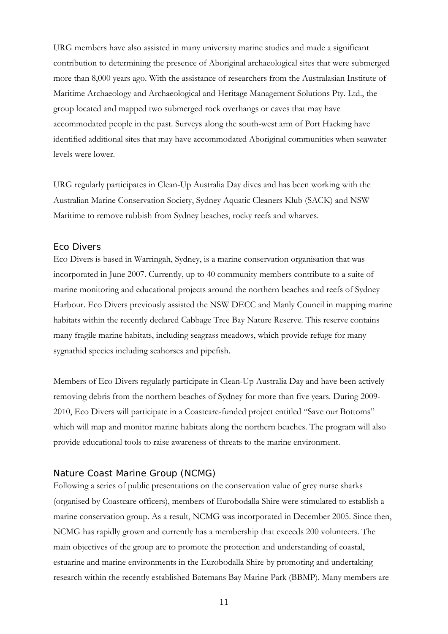URG members have also assisted in many university marine studies and made a significant contribution to determining the presence of Aboriginal archaeological sites that were submerged more than 8,000 years ago. With the assistance of researchers from the Australasian Institute of Maritime Archaeology and Archaeological and Heritage Management Solutions Pty. Ltd., the group located and mapped two submerged rock overhangs or caves that may have accommodated people in the past. Surveys along the south-west arm of Port Hacking have identified additional sites that may have accommodated Aboriginal communities when seawater levels were lower.

URG regularly participates in Clean-Up Australia Day dives and has been working with the Australian Marine Conservation Society, Sydney Aquatic Cleaners Klub (SACK) and NSW Maritime to remove rubbish from Sydney beaches, rocky reefs and wharves.

#### *Eco Divers*

Eco Divers is based in Warringah, Sydney, is a marine conservation organisation that was incorporated in June 2007. Currently, up to 40 community members contribute to a suite of marine monitoring and educational projects around the northern beaches and reefs of Sydney Harbour. Eco Divers previously assisted the NSW DECC and Manly Council in mapping marine habitats within the recently declared Cabbage Tree Bay Nature Reserve. This reserve contains many fragile marine habitats, including seagrass meadows, which provide refuge for many sygnathid species including seahorses and pipefish.

Members of Eco Divers regularly participate in Clean-Up Australia Day and have been actively removing debris from the northern beaches of Sydney for more than five years. During 2009- 2010, Eco Divers will participate in a Coastcare-funded project entitled "Save our Bottoms" which will map and monitor marine habitats along the northern beaches. The program will also provide educational tools to raise awareness of threats to the marine environment.

#### *Nature Coast Marine Group (NCMG)*

Following a series of public presentations on the conservation value of grey nurse sharks (organised by Coastcare officers), members of Eurobodalla Shire were stimulated to establish a marine conservation group. As a result, NCMG was incorporated in December 2005. Since then, NCMG has rapidly grown and currently has a membership that exceeds 200 volunteers. The main objectives of the group are to promote the protection and understanding of coastal, estuarine and marine environments in the Eurobodalla Shire by promoting and undertaking research within the recently established Batemans Bay Marine Park (BBMP). Many members are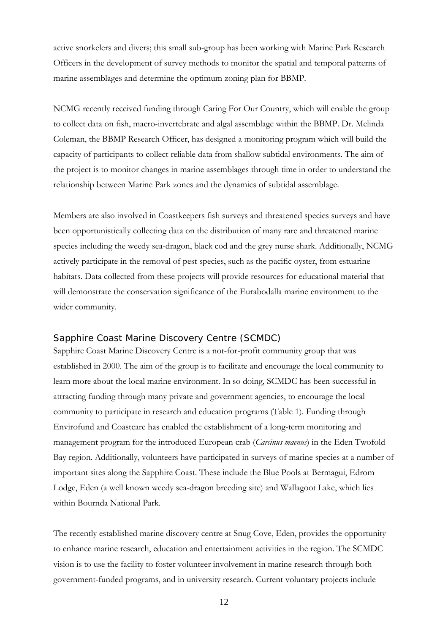active snorkelers and divers; this small sub-group has been working with Marine Park Research Officers in the development of survey methods to monitor the spatial and temporal patterns of marine assemblages and determine the optimum zoning plan for BBMP.

NCMG recently received funding through Caring For Our Country, which will enable the group to collect data on fish, macro-invertebrate and algal assemblage within the BBMP. Dr. Melinda Coleman, the BBMP Research Officer, has designed a monitoring program which will build the capacity of participants to collect reliable data from shallow subtidal environments. The aim of the project is to monitor changes in marine assemblages through time in order to understand the relationship between Marine Park zones and the dynamics of subtidal assemblage.

Members are also involved in Coastkeepers fish surveys and threatened species surveys and have been opportunistically collecting data on the distribution of many rare and threatened marine species including the weedy sea-dragon, black cod and the grey nurse shark. Additionally, NCMG actively participate in the removal of pest species, such as the pacific oyster, from estuarine habitats. Data collected from these projects will provide resources for educational material that will demonstrate the conservation significance of the Eurabodalla marine environment to the wider community.

## *Sapphire Coast Marine Discovery Centre (SCMDC)*

Sapphire Coast Marine Discovery Centre is a not-for-profit community group that was established in 2000. The aim of the group is to facilitate and encourage the local community to learn more about the local marine environment. In so doing, SCMDC has been successful in attracting funding through many private and government agencies, to encourage the local community to participate in research and education programs (Table 1). Funding through Envirofund and Coastcare has enabled the establishment of a long-term monitoring and management program for the introduced European crab (*Carcinus maenus*) in the Eden Twofold Bay region. Additionally, volunteers have participated in surveys of marine species at a number of important sites along the Sapphire Coast. These include the Blue Pools at Bermagui, Edrom Lodge, Eden (a well known weedy sea-dragon breeding site) and Wallagoot Lake, which lies within Bournda National Park.

The recently established marine discovery centre at Snug Cove, Eden, provides the opportunity to enhance marine research, education and entertainment activities in the region. The SCMDC vision is to use the facility to foster volunteer involvement in marine research through both government-funded programs, and in university research. Current voluntary projects include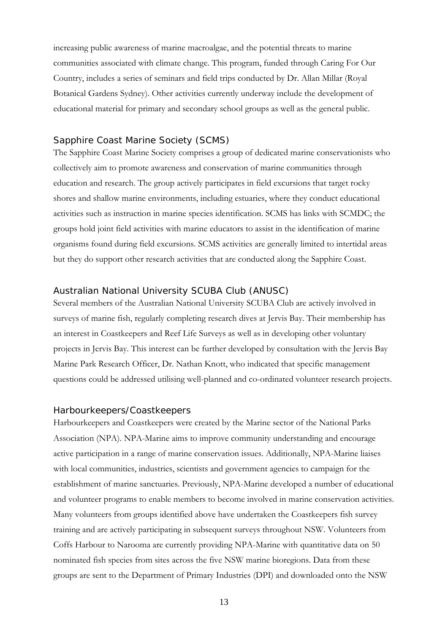increasing public awareness of marine macroalgae, and the potential threats to marine communities associated with climate change. This program, funded through Caring For Our Country, includes a series of seminars and field trips conducted by Dr. Allan Millar (Royal Botanical Gardens Sydney). Other activities currently underway include the development of educational material for primary and secondary school groups as well as the general public.

#### *Sapphire Coast Marine Society (SCMS)*

The Sapphire Coast Marine Society comprises a group of dedicated marine conservationists who collectively aim to promote awareness and conservation of marine communities through education and research. The group actively participates in field excursions that target rocky shores and shallow marine environments, including estuaries, where they conduct educational activities such as instruction in marine species identification. SCMS has links with SCMDC; the groups hold joint field activities with marine educators to assist in the identification of marine organisms found during field excursions. SCMS activities are generally limited to intertidal areas but they do support other research activities that are conducted along the Sapphire Coast.

#### *Australian National University SCUBA Club (ANUSC)*

Several members of the Australian National University SCUBA Club are actively involved in surveys of marine fish, regularly completing research dives at Jervis Bay. Their membership has an interest in Coastkeepers and Reef Life Surveys as well as in developing other voluntary projects in Jervis Bay. This interest can be further developed by consultation with the Jervis Bay Marine Park Research Officer, Dr. Nathan Knott, who indicated that specific management questions could be addressed utilising well-planned and co-ordinated volunteer research projects.

#### *Harbourkeepers/Coastkeepers*

Harbourkeepers and Coastkeepers were created by the Marine sector of the National Parks Association (NPA). NPA-Marine aims to improve community understanding and encourage active participation in a range of marine conservation issues. Additionally, NPA-Marine liaises with local communities, industries, scientists and government agencies to campaign for the establishment of marine sanctuaries. Previously, NPA-Marine developed a number of educational and volunteer programs to enable members to become involved in marine conservation activities. Many volunteers from groups identified above have undertaken the Coastkeepers fish survey training and are actively participating in subsequent surveys throughout NSW. Volunteers from Coffs Harbour to Narooma are currently providing NPA-Marine with quantitative data on 50 nominated fish species from sites across the five NSW marine bioregions. Data from these groups are sent to the Department of Primary Industries (DPI) and downloaded onto the NSW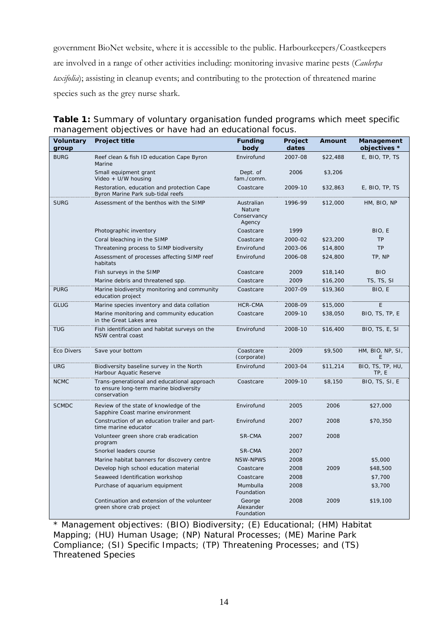government BioNet website, where it is accessible to the public. Harbourkeepers/Coastkeepers are involved in a range of other activities including: monitoring invasive marine pests (*Caulerpa taxifolia*); assisting in cleanup events; and contributing to the protection of threatened marine species such as the grey nurse shark.

| <b>Voluntary</b><br>group | Project title                                                                                          | <b>Funding</b><br>body                        | Project<br>dates | Amount   | Management<br>objectives * |
|---------------------------|--------------------------------------------------------------------------------------------------------|-----------------------------------------------|------------------|----------|----------------------------|
| <b>BURG</b>               | Reef clean & fish ID education Cape Byron<br>Marine                                                    | Envirofund                                    | 2007-08          | \$22,488 | E, BIO, TP, TS             |
|                           | Small equipment grant<br>Video + U/W housing                                                           | Dept. of<br>fam./comm.                        | 2006             | \$3,206  |                            |
|                           | Restoration, education and protection Cape<br>Byron Marine Park sub-tidal reefs                        | Coastcare                                     | 2009-10          | \$32,863 | E, BIO, TP, TS             |
| <b>SURG</b>               | Assessment of the benthos with the SIMP                                                                | Australian<br>Nature<br>Conservancy<br>Agency | 1996-99          | \$12,000 | HM, BIO, NP                |
|                           | Photographic inventory                                                                                 | Coastcare                                     | 1999             |          | BIO, E                     |
|                           | Coral bleaching in the SIMP                                                                            | Coastcare                                     | 2000-02          | \$23,200 | <b>TP</b>                  |
|                           | Threatening process to SIMP biodiversity                                                               | Envirofund                                    | 2003-06          | \$14,800 | <b>TP</b>                  |
|                           | Assessment of processes affecting SIMP reef<br>habitats                                                | Envirofund                                    | 2006-08          | \$24,800 | TP, NP                     |
|                           | Fish surveys in the SIMP                                                                               | Coastcare                                     | 2009             | \$18,140 | <b>BIO</b>                 |
|                           | Marine debris and threatened spp.                                                                      | Coastcare                                     | 2009             | \$16,200 | TS, TS, SI                 |
| <b>PURG</b>               | Marine biodiversity monitoring and community<br>education project                                      | Coastcare                                     | 2007-09          | \$19,360 | BIO, E                     |
| <b>GLUG</b>               | Marine species inventory and data collation                                                            | HCR-CMA                                       | 2008-09          | \$15,000 | E                          |
|                           | Marine monitoring and community education<br>in the Great Lakes area                                   | Coastcare                                     | 2009-10          | \$38,050 | BIO, TS, TP, E             |
| <b>TUG</b>                | Fish identification and habitat surveys on the<br>NSW central coast                                    | Envirofund                                    | 2008-10          | \$16,400 | BIO, TS, E, SI             |
| <b>Eco Divers</b>         | Save your bottom                                                                                       | Coastcare<br>(corporate)                      | 2009             | \$9,500  | HM, BIO, NP, SI,<br>E      |
| <b>URG</b>                | Biodiversity baseline survey in the North<br>Harbour Aquatic Reserve                                   | Envirofund                                    | 2003-04          | \$11,214 | BIO, TS, TP, HU,<br>TP, E  |
| <b>NCMC</b>               | Trans-generational and educational approach<br>to ensure long-term marine biodiversity<br>conservation | Coastcare                                     | 2009-10          | \$8,150  | BIO, TS, SI, E             |
| <b>SCMDC</b>              | Review of the state of knowledge of the<br>Sapphire Coast marine environment                           | Envirofund                                    | 2005             | 2006     | \$27,000                   |
|                           | Construction of an education trailer and part-<br>time marine educator                                 | Envirofund                                    | 2007             | 2008     | \$70,350                   |
|                           | Volunteer green shore crab eradication<br>program                                                      | SR-CMA                                        | 2007             | 2008     |                            |
|                           | Snorkel leaders course                                                                                 | SR-CMA                                        | 2007             |          |                            |
|                           | Marine habitat banners for discovery centre                                                            | <b>NSW-NPWS</b>                               | 2008             |          | \$5,000                    |
|                           | Develop high school education material                                                                 | Coastcare                                     | 2008             | 2009     | \$48,500                   |
|                           | Seaweed Identification workshop                                                                        | Coastcare                                     | 2008             |          | \$7,700                    |
|                           | Purchase of aquarium equipment                                                                         | Mumbulla<br>Foundation                        | 2008             |          | \$3,700                    |
|                           | Continuation and extension of the volunteer<br>green shore crab project                                | George<br>Alexander<br>Foundation             | 2008             | 2009     | \$19,100                   |

**Table 1:** Summary of voluntary organisation funded programs which meet specific management objectives or have had an educational focus.

\* Management objectives: (BIO) Biodiversity; (E) Educational; (HM) Habitat Mapping; (HU) Human Usage; (NP) Natural Processes; (ME) Marine Park Compliance; (SI) Specific Impacts; (TP) Threatening Processes; and (TS) Threatened Species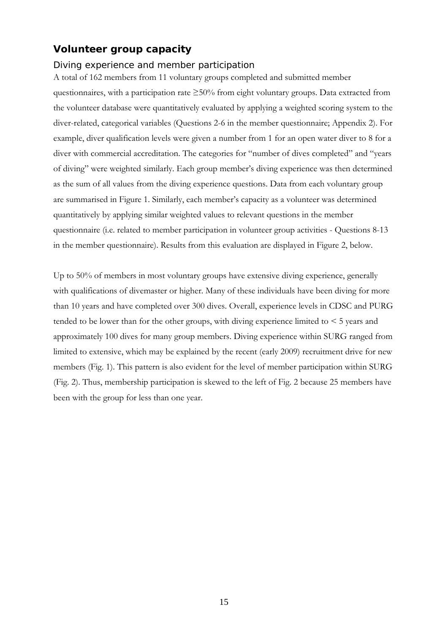## **Volunteer group capacity**

## *Diving experience and member participation*

A total of 162 members from 11 voluntary groups completed and submitted member questionnaires, with a participation rate  $\geq 50\%$  from eight voluntary groups. Data extracted from the volunteer database were quantitatively evaluated by applying a weighted scoring system to the diver-related, categorical variables (Questions 2-6 in the member questionnaire; Appendix 2). For example, diver qualification levels were given a number from 1 for an open water diver to 8 for a diver with commercial accreditation. The categories for "number of dives completed" and "years of diving" were weighted similarly. Each group member's diving experience was then determined as the sum of all values from the diving experience questions. Data from each voluntary group are summarised in Figure 1. Similarly, each member's capacity as a volunteer was determined quantitatively by applying similar weighted values to relevant questions in the member questionnaire (i.e. related to member participation in volunteer group activities - Questions 8-13 in the member questionnaire). Results from this evaluation are displayed in Figure 2, below.

Up to 50% of members in most voluntary groups have extensive diving experience, generally with qualifications of divemaster or higher. Many of these individuals have been diving for more than 10 years and have completed over 300 dives. Overall, experience levels in CDSC and PURG tended to be lower than for the other groups, with diving experience limited to  $\leq 5$  years and approximately 100 dives for many group members. Diving experience within SURG ranged from limited to extensive, which may be explained by the recent (early 2009) recruitment drive for new members (Fig. 1). This pattern is also evident for the level of member participation within SURG (Fig. 2). Thus, membership participation is skewed to the left of Fig. 2 because 25 members have been with the group for less than one year.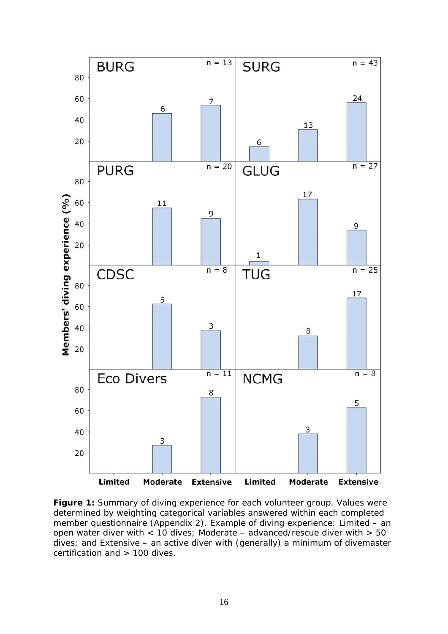

**Figure 1:** Summary of diving experience for each volunteer group. Values were determined by weighting categorical variables answered within each completed member questionnaire (Appendix 2). Example of diving experience: Limited – an open water diver with < 10 dives; Moderate – advanced/rescue diver with > 50 dives; and Extensive – an active diver with (generally) a minimum of divemaster certification and > 100 dives.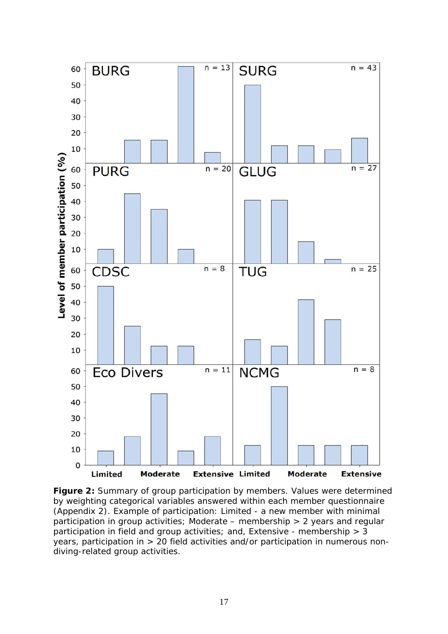

**Figure 2:** Summary of group participation by members. Values were determined by weighting categorical variables answered within each member questionnaire (Appendix 2). Example of participation: Limited - a new member with minimal participation in group activities; Moderate – membership > 2 years and regular participation in field and group activities; and, Extensive - membership  $> 3$ years, participation in > 20 field activities and/or participation in numerous nondiving-related group activities.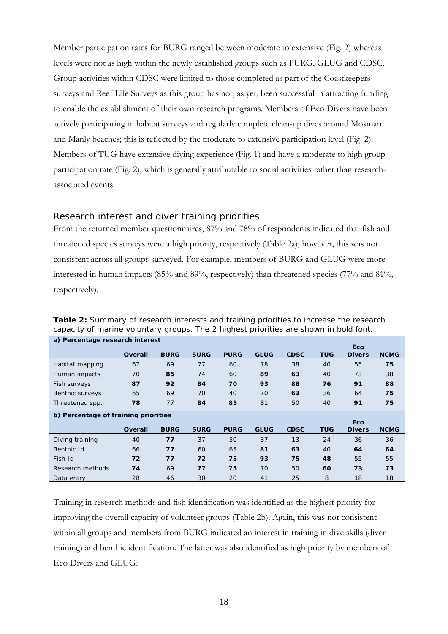Member participation rates for BURG ranged between moderate to extensive (Fig. 2) whereas levels were not as high within the newly established groups such as PURG, GLUG and CDSC. Group activities within CDSC were limited to those completed as part of the Coastkeepers surveys and Reef Life Surveys as this group has not, as yet, been successful in attracting funding to enable the establishment of their own research programs. Members of Eco Divers have been actively participating in habitat surveys and regularly complete clean-up dives around Mosman and Manly beaches; this is reflected by the moderate to extensive participation level (Fig. 2). Members of TUG have extensive diving experience (Fig. 1) and have a moderate to high group participation rate (Fig. 2), which is generally attributable to social activities rather than researchassociated events.

#### *Research interest and diver training priorities*

From the returned member questionnaires, 87% and 78% of respondents indicated that fish and threatened species surveys were a high priority, respectively (Table 2a); however, this was not consistent across all groups surveyed. For example, members of BURG and GLUG were more interested in human impacts (85% and 89%, respectively) than threatened species (77% and 81%, respectively).

| a) Percentage research interest |                                      |             |             |             |             |             |            |               |             |  |  |  |  |  |
|---------------------------------|--------------------------------------|-------------|-------------|-------------|-------------|-------------|------------|---------------|-------------|--|--|--|--|--|
|                                 | <b>Eco</b>                           |             |             |             |             |             |            |               |             |  |  |  |  |  |
|                                 | <b>Overall</b>                       | <b>BURG</b> | <b>SURG</b> | <b>PURG</b> | <b>GLUG</b> | <b>CDSC</b> | <b>TUG</b> | <b>Divers</b> | <b>NCMG</b> |  |  |  |  |  |
| Habitat mapping                 | 67                                   | 69          | 77          | 60          | 78          | 38          | 40         | 55            | 75          |  |  |  |  |  |
| Human impacts                   | 70                                   | 85          | 74          | 60          | 89          | 63          | 40         | 73            | 38          |  |  |  |  |  |
| Fish surveys                    | 87                                   | 92          | 84          | 70          | 93          | 88          | 76         | 91            | 88          |  |  |  |  |  |
| Benthic surveys                 | 65                                   | 69          | 70          | 40          | 70          | 63          | 36         | 64            | 75          |  |  |  |  |  |
| Threatened spp.                 | 78                                   | 77          | 84          | 85          | 81<br>50    |             | 40         | 91            | 75          |  |  |  |  |  |
|                                 | b) Percentage of training priorities |             |             |             |             |             |            |               |             |  |  |  |  |  |
|                                 |                                      |             |             |             |             |             |            | <b>Eco</b>    |             |  |  |  |  |  |
|                                 | Overall                              | <b>BURG</b> | <b>SURG</b> | <b>PURG</b> | <b>GLUG</b> | <b>CDSC</b> | <b>TUG</b> | <b>Divers</b> | <b>NCMG</b> |  |  |  |  |  |
| Diving training                 | 40                                   | 77          | 37          | 50          | 37          | 13          | 24         | 36            | 36          |  |  |  |  |  |
| Benthic Id                      | 66                                   | 77          | 60          | 65          | 81          | 63          | 40         | 64            | 64          |  |  |  |  |  |
| Fish Id                         | 72                                   | 77          | 72          | 75          | 93          | 75          | 48         | 55            | 55          |  |  |  |  |  |
| Research methods                | 74                                   | 69          | 77          | 75          | 70          | 50          | 60         | 73            | 73          |  |  |  |  |  |
| Data entry                      | 28                                   | 46          | 30          | 20          | 41          | 25          | 8          | 18            | 18          |  |  |  |  |  |

**Table 2:** Summary of research interests and training priorities to increase the research capacity of marine voluntary groups. The 2 highest priorities are shown in bold font.

Training in research methods and fish identification was identified as the highest priority for improving the overall capacity of volunteer groups (Table 2b). Again, this was not consistent within all groups and members from BURG indicated an interest in training in dive skills (diver training) and benthic identification. The latter was also identified as high priority by members of Eco Divers and GLUG.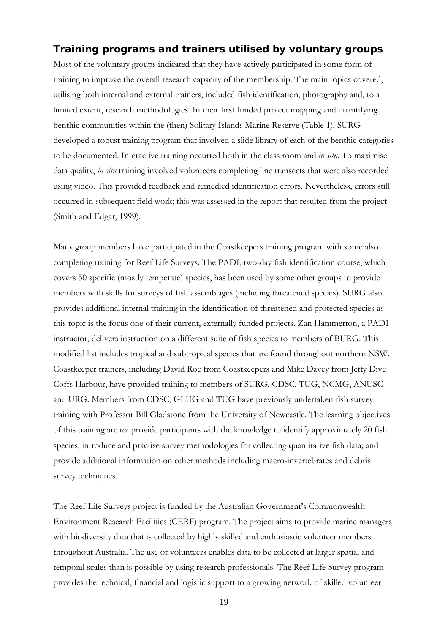## **Training programs and trainers utilised by voluntary groups**

Most of the voluntary groups indicated that they have actively participated in some form of training to improve the overall research capacity of the membership. The main topics covered, utilising both internal and external trainers, included fish identification, photography and, to a limited extent, research methodologies. In their first funded project mapping and quantifying benthic communities within the (then) Solitary Islands Marine Reserve (Table 1), SURG developed a robust training program that involved a slide library of each of the benthic categories to be documented. Interactive training occurred both in the class room and *in situ*. To maximise data quality, *in situ* training involved volunteers completing line transects that were also recorded using video. This provided feedback and remedied identification errors. Nevertheless, errors still occurred in subsequent field work; this was assessed in the report that resulted from the project (Smith and Edgar, 1999).

Many group members have participated in the Coastkeepers training program with some also completing training for Reef Life Surveys. The PADI, two-day fish identification course, which covers 50 specific (mostly temperate) species, has been used by some other groups to provide members with skills for surveys of fish assemblages (including threatened species). SURG also provides additional internal training in the identification of threatened and protected species as this topic is the focus one of their current, externally funded projects. Zan Hammerton, a PADI instructor, delivers instruction on a different suite of fish species to members of BURG. This modified list includes tropical and subtropical species that are found throughout northern NSW. Coastkeeper trainers, including David Roe from Coastkeepers and Mike Davey from Jetty Dive Coffs Harbour, have provided training to members of SURG, CDSC, TUG, NCMG, ANUSC and URG. Members from CDSC, GLUG and TUG have previously undertaken fish survey training with Professor Bill Gladstone from the University of Newcastle. The learning objectives of this training are to: provide participants with the knowledge to identify approximately 20 fish species; introduce and practise survey methodologies for collecting quantitative fish data; and provide additional information on other methods including macro-invertebrates and debris survey techniques.

The Reef Life Surveys project is funded by the Australian Government's Commonwealth Environment Research Facilities (CERF) program. The project aims to provide marine managers with biodiversity data that is collected by highly skilled and enthusiastic volunteer members throughout Australia. The use of volunteers enables data to be collected at larger spatial and temporal scales than is possible by using research professionals. The Reef Life Survey program provides the technical, financial and logistic support to a growing network of skilled volunteer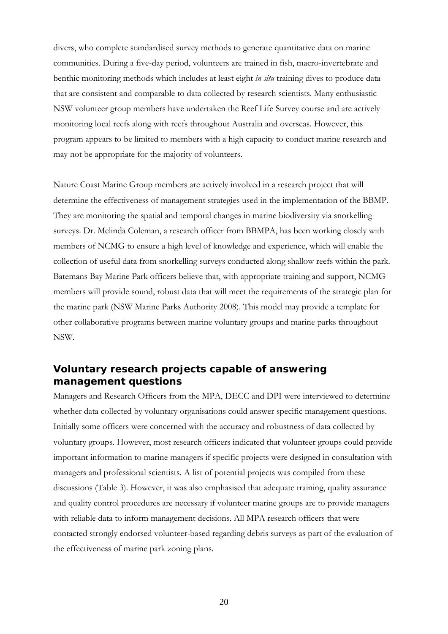divers, who complete standardised survey methods to generate quantitative data on marine communities. During a five-day period, volunteers are trained in fish, macro-invertebrate and benthic monitoring methods which includes at least eight *in situ* training dives to produce data that are consistent and comparable to data collected by research scientists. Many enthusiastic NSW volunteer group members have undertaken the Reef Life Survey course and are actively monitoring local reefs along with reefs throughout Australia and overseas. However, this program appears to be limited to members with a high capacity to conduct marine research and may not be appropriate for the majority of volunteers.

Nature Coast Marine Group members are actively involved in a research project that will determine the effectiveness of management strategies used in the implementation of the BBMP. They are monitoring the spatial and temporal changes in marine biodiversity via snorkelling surveys. Dr. Melinda Coleman, a research officer from BBMPA, has been working closely with members of NCMG to ensure a high level of knowledge and experience, which will enable the collection of useful data from snorkelling surveys conducted along shallow reefs within the park. Batemans Bay Marine Park officers believe that, with appropriate training and support, NCMG members will provide sound, robust data that will meet the requirements of the strategic plan for the marine park (NSW Marine Parks Authority 2008). This model may provide a template for other collaborative programs between marine voluntary groups and marine parks throughout NSW.

## **Voluntary research projects capable of answering management questions**

Managers and Research Officers from the MPA, DECC and DPI were interviewed to determine whether data collected by voluntary organisations could answer specific management questions. Initially some officers were concerned with the accuracy and robustness of data collected by voluntary groups. However, most research officers indicated that volunteer groups could provide important information to marine managers if specific projects were designed in consultation with managers and professional scientists. A list of potential projects was compiled from these discussions (Table 3). However, it was also emphasised that adequate training, quality assurance and quality control procedures are necessary if volunteer marine groups are to provide managers with reliable data to inform management decisions. All MPA research officers that were contacted strongly endorsed volunteer-based regarding debris surveys as part of the evaluation of the effectiveness of marine park zoning plans.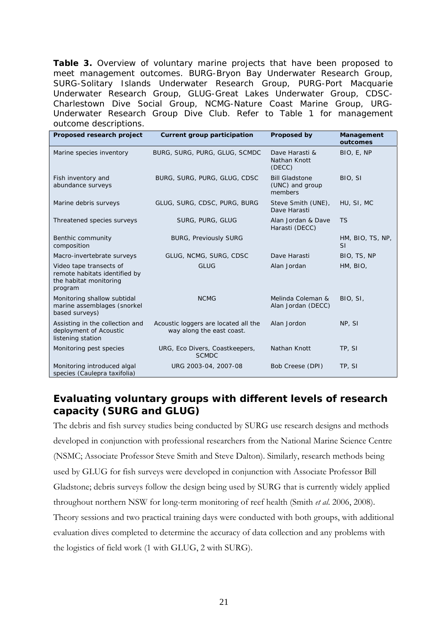**Table 3.** Overview of voluntary marine projects that have been proposed to meet management outcomes. BURG-Bryon Bay Underwater Research Group, SURG-Solitary Islands Underwater Research Group, PURG-Port Macquarie Underwater Research Group, GLUG-Great Lakes Underwater Group, CDSC-Charlestown Dive Social Group, NCMG-Nature Coast Marine Group, URG-Underwater Research Group Dive Club. Refer to Table 1 for management outcome descriptions.

| Proposed research project                                                                     | Current group participation                                       | Proposed by                                         | Management<br>outcomes        |  |  |
|-----------------------------------------------------------------------------------------------|-------------------------------------------------------------------|-----------------------------------------------------|-------------------------------|--|--|
| Marine species inventory                                                                      | BURG, SURG, PURG, GLUG, SCMDC                                     | Dave Harasti &<br>Nathan Knott<br>(DECC)            | BIO, E, NP                    |  |  |
| Fish inventory and<br>abundance surveys                                                       | BURG, SURG, PURG, GLUG, CDSC                                      | <b>Bill Gladstone</b><br>(UNC) and group<br>members | BIO, SI                       |  |  |
| Marine debris surveys                                                                         | GLUG, SURG, CDSC, PURG, BURG                                      | Steve Smith (UNE),<br>Dave Harasti                  | HU, SI, MC                    |  |  |
| Threatened species surveys                                                                    | SURG, PURG, GLUG                                                  | Alan Jordan & Dave<br>Harasti (DECC)                | <b>TS</b>                     |  |  |
| Benthic community<br>composition                                                              | <b>BURG, Previously SURG</b>                                      |                                                     | HM, BIO, TS, NP,<br><b>SI</b> |  |  |
| Macro-invertebrate surveys                                                                    | GLUG, NCMG, SURG, CDSC                                            | Dave Harasti                                        | BIO, TS, NP                   |  |  |
| Video tape transects of<br>remote habitats identified by<br>the habitat monitoring<br>program | <b>GLUG</b>                                                       | Alan Jordan                                         | HM, BIO,                      |  |  |
| Monitoring shallow subtidal<br>marine assemblages (snorkel<br>based surveys)                  | <b>NCMG</b>                                                       | Melinda Coleman &<br>Alan Jordan (DECC)             | BIO, SI,                      |  |  |
| Assisting in the collection and<br>deployment of Acoustic<br>listening station                | Acoustic loggers are located all the<br>way along the east coast. | Alan Jordon                                         | NP, SI                        |  |  |
| Monitoring pest species                                                                       | URG, Eco Divers, Coastkeepers,<br><b>SCMDC</b>                    | Nathan Knott                                        | TP, SI                        |  |  |
| Monitoring introduced algal<br>species (Caulepra taxifolia)                                   | URG 2003-04, 2007-08                                              | Bob Creese (DPI)                                    | TP, SI                        |  |  |

## **Evaluating voluntary groups with different levels of research capacity (SURG and GLUG)**

The debris and fish survey studies being conducted by SURG use research designs and methods developed in conjunction with professional researchers from the National Marine Science Centre (NSMC; Associate Professor Steve Smith and Steve Dalton). Similarly, research methods being used by GLUG for fish surveys were developed in conjunction with Associate Professor Bill Gladstone; debris surveys follow the design being used by SURG that is currently widely applied throughout northern NSW for long-term monitoring of reef health (Smith *et al*. 2006, 2008). Theory sessions and two practical training days were conducted with both groups, with additional evaluation dives completed to determine the accuracy of data collection and any problems with the logistics of field work (1 with GLUG, 2 with SURG).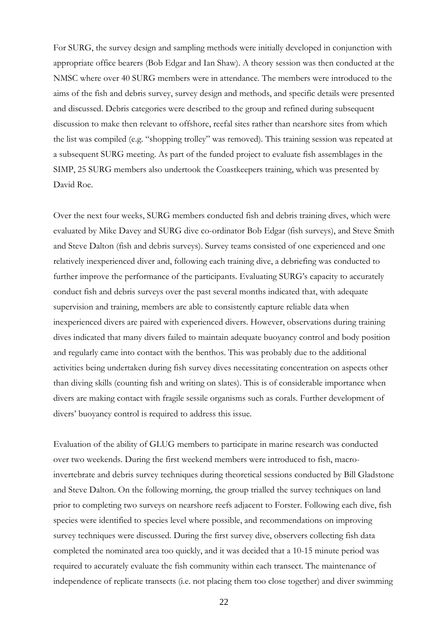For SURG, the survey design and sampling methods were initially developed in conjunction with appropriate office bearers (Bob Edgar and Ian Shaw). A theory session was then conducted at the NMSC where over 40 SURG members were in attendance. The members were introduced to the aims of the fish and debris survey, survey design and methods, and specific details were presented and discussed. Debris categories were described to the group and refined during subsequent discussion to make then relevant to offshore, reefal sites rather than nearshore sites from which the list was compiled (e.g. "shopping trolley" was removed). This training session was repeated at a subsequent SURG meeting. As part of the funded project to evaluate fish assemblages in the SIMP, 25 SURG members also undertook the Coastkeepers training, which was presented by David Roe.

Over the next four weeks, SURG members conducted fish and debris training dives, which were evaluated by Mike Davey and SURG dive co-ordinator Bob Edgar (fish surveys), and Steve Smith and Steve Dalton (fish and debris surveys). Survey teams consisted of one experienced and one relatively inexperienced diver and, following each training dive, a debriefing was conducted to further improve the performance of the participants. Evaluating SURG's capacity to accurately conduct fish and debris surveys over the past several months indicated that, with adequate supervision and training, members are able to consistently capture reliable data when inexperienced divers are paired with experienced divers. However, observations during training dives indicated that many divers failed to maintain adequate buoyancy control and body position and regularly came into contact with the benthos. This was probably due to the additional activities being undertaken during fish survey dives necessitating concentration on aspects other than diving skills (counting fish and writing on slates). This is of considerable importance when divers are making contact with fragile sessile organisms such as corals. Further development of divers' buoyancy control is required to address this issue.

Evaluation of the ability of GLUG members to participate in marine research was conducted over two weekends. During the first weekend members were introduced to fish, macroinvertebrate and debris survey techniques during theoretical sessions conducted by Bill Gladstone and Steve Dalton. On the following morning, the group trialled the survey techniques on land prior to completing two surveys on nearshore reefs adjacent to Forster. Following each dive, fish species were identified to species level where possible, and recommendations on improving survey techniques were discussed. During the first survey dive, observers collecting fish data completed the nominated area too quickly, and it was decided that a 10-15 minute period was required to accurately evaluate the fish community within each transect. The maintenance of independence of replicate transects (i.e. not placing them too close together) and diver swimming

22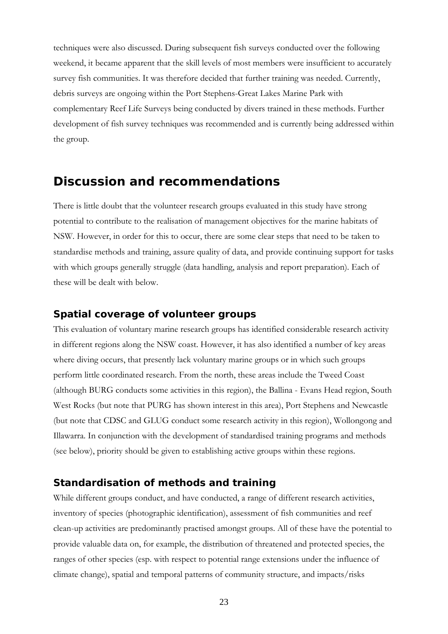techniques were also discussed. During subsequent fish surveys conducted over the following weekend, it became apparent that the skill levels of most members were insufficient to accurately survey fish communities. It was therefore decided that further training was needed. Currently, debris surveys are ongoing within the Port Stephens-Great Lakes Marine Park with complementary Reef Life Surveys being conducted by divers trained in these methods. Further development of fish survey techniques was recommended and is currently being addressed within the group.

## **Discussion and recommendations**

There is little doubt that the volunteer research groups evaluated in this study have strong potential to contribute to the realisation of management objectives for the marine habitats of NSW. However, in order for this to occur, there are some clear steps that need to be taken to standardise methods and training, assure quality of data, and provide continuing support for tasks with which groups generally struggle (data handling, analysis and report preparation). Each of these will be dealt with below.

#### **Spatial coverage of volunteer groups**

This evaluation of voluntary marine research groups has identified considerable research activity in different regions along the NSW coast. However, it has also identified a number of key areas where diving occurs, that presently lack voluntary marine groups or in which such groups perform little coordinated research. From the north, these areas include the Tweed Coast (although BURG conducts some activities in this region), the Ballina - Evans Head region, South West Rocks (but note that PURG has shown interest in this area), Port Stephens and Newcastle (but note that CDSC and GLUG conduct some research activity in this region), Wollongong and Illawarra. In conjunction with the development of standardised training programs and methods (see below), priority should be given to establishing active groups within these regions.

## **Standardisation of methods and training**

While different groups conduct, and have conducted, a range of different research activities, inventory of species (photographic identification), assessment of fish communities and reef clean-up activities are predominantly practised amongst groups. All of these have the potential to provide valuable data on, for example, the distribution of threatened and protected species, the ranges of other species (esp. with respect to potential range extensions under the influence of climate change), spatial and temporal patterns of community structure, and impacts/risks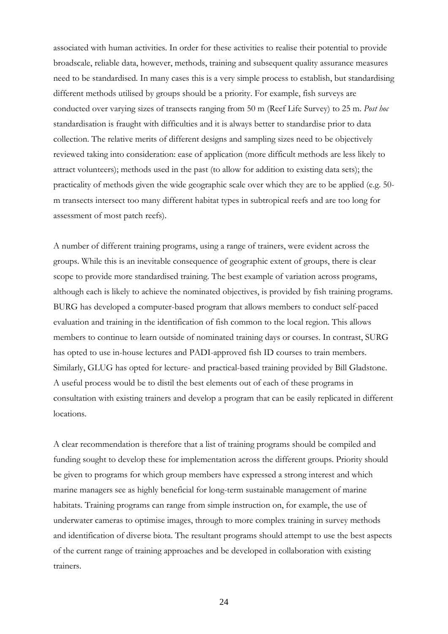associated with human activities. In order for these activities to realise their potential to provide broadscale, reliable data, however, methods, training and subsequent quality assurance measures need to be standardised. In many cases this is a very simple process to establish, but standardising different methods utilised by groups should be a priority. For example, fish surveys are conducted over varying sizes of transects ranging from 50 m (Reef Life Survey) to 25 m. *Post hoc* standardisation is fraught with difficulties and it is always better to standardise prior to data collection. The relative merits of different designs and sampling sizes need to be objectively reviewed taking into consideration: ease of application (more difficult methods are less likely to attract volunteers); methods used in the past (to allow for addition to existing data sets); the practicality of methods given the wide geographic scale over which they are to be applied (e.g. 50 m transects intersect too many different habitat types in subtropical reefs and are too long for assessment of most patch reefs).

A number of different training programs, using a range of trainers, were evident across the groups. While this is an inevitable consequence of geographic extent of groups, there is clear scope to provide more standardised training. The best example of variation across programs, although each is likely to achieve the nominated objectives, is provided by fish training programs. BURG has developed a computer-based program that allows members to conduct self-paced evaluation and training in the identification of fish common to the local region. This allows members to continue to learn outside of nominated training days or courses. In contrast, SURG has opted to use in-house lectures and PADI-approved fish ID courses to train members. Similarly, GLUG has opted for lecture- and practical-based training provided by Bill Gladstone. A useful process would be to distil the best elements out of each of these programs in consultation with existing trainers and develop a program that can be easily replicated in different locations.

A clear recommendation is therefore that a list of training programs should be compiled and funding sought to develop these for implementation across the different groups. Priority should be given to programs for which group members have expressed a strong interest and which marine managers see as highly beneficial for long-term sustainable management of marine habitats. Training programs can range from simple instruction on, for example, the use of underwater cameras to optimise images, through to more complex training in survey methods and identification of diverse biota. The resultant programs should attempt to use the best aspects of the current range of training approaches and be developed in collaboration with existing trainers.

24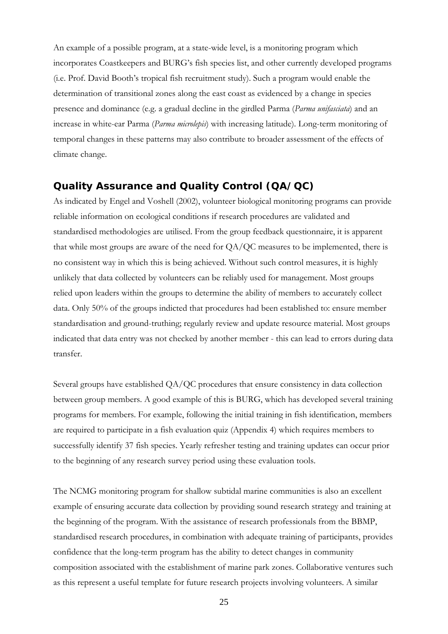An example of a possible program, at a state-wide level, is a monitoring program which incorporates Coastkeepers and BURG's fish species list, and other currently developed programs (i.e. Prof. David Booth's tropical fish recruitment study). Such a program would enable the determination of transitional zones along the east coast as evidenced by a change in species presence and dominance (e.g. a gradual decline in the girdled Parma (*Parma unifasciata*) and an increase in white-ear Parma (*Parma microlepis*) with increasing latitude). Long-term monitoring of temporal changes in these patterns may also contribute to broader assessment of the effects of climate change.

## **Quality Assurance and Quality Control (QA/QC)**

As indicated by Engel and Voshell (2002), volunteer biological monitoring programs can provide reliable information on ecological conditions if research procedures are validated and standardised methodologies are utilised. From the group feedback questionnaire, it is apparent that while most groups are aware of the need for QA/QC measures to be implemented, there is no consistent way in which this is being achieved. Without such control measures, it is highly unlikely that data collected by volunteers can be reliably used for management. Most groups relied upon leaders within the groups to determine the ability of members to accurately collect data. Only 50% of the groups indicted that procedures had been established to: ensure member standardisation and ground-truthing; regularly review and update resource material. Most groups indicated that data entry was not checked by another member - this can lead to errors during data transfer.

Several groups have established QA/QC procedures that ensure consistency in data collection between group members. A good example of this is BURG, which has developed several training programs for members. For example, following the initial training in fish identification, members are required to participate in a fish evaluation quiz (Appendix 4) which requires members to successfully identify 37 fish species. Yearly refresher testing and training updates can occur prior to the beginning of any research survey period using these evaluation tools.

The NCMG monitoring program for shallow subtidal marine communities is also an excellent example of ensuring accurate data collection by providing sound research strategy and training at the beginning of the program. With the assistance of research professionals from the BBMP, standardised research procedures, in combination with adequate training of participants, provides confidence that the long-term program has the ability to detect changes in community composition associated with the establishment of marine park zones. Collaborative ventures such as this represent a useful template for future research projects involving volunteers. A similar

25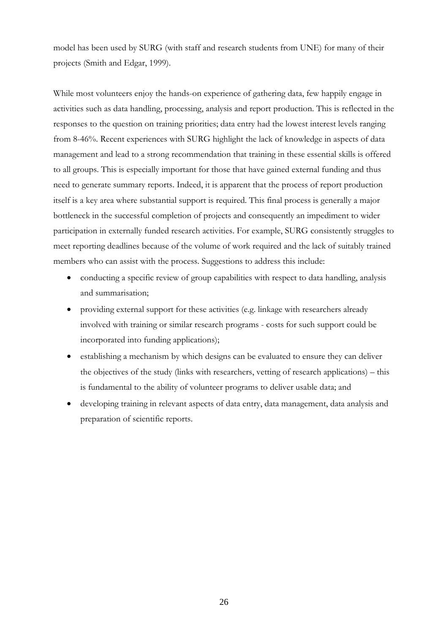model has been used by SURG (with staff and research students from UNE) for many of their projects (Smith and Edgar, 1999).

While most volunteers enjoy the hands-on experience of gathering data, few happily engage in activities such as data handling, processing, analysis and report production. This is reflected in the responses to the question on training priorities; data entry had the lowest interest levels ranging from 8-46%. Recent experiences with SURG highlight the lack of knowledge in aspects of data management and lead to a strong recommendation that training in these essential skills is offered to all groups. This is especially important for those that have gained external funding and thus need to generate summary reports. Indeed, it is apparent that the process of report production itself is a key area where substantial support is required. This final process is generally a major bottleneck in the successful completion of projects and consequently an impediment to wider participation in externally funded research activities. For example, SURG consistently struggles to meet reporting deadlines because of the volume of work required and the lack of suitably trained members who can assist with the process. Suggestions to address this include:

- conducting a specific review of group capabilities with respect to data handling, analysis and summarisation;
- providing external support for these activities (e.g. linkage with researchers already involved with training or similar research programs - costs for such support could be incorporated into funding applications);
- establishing a mechanism by which designs can be evaluated to ensure they can deliver the objectives of the study (links with researchers, vetting of research applications) – this is fundamental to the ability of volunteer programs to deliver usable data; and
- developing training in relevant aspects of data entry, data management, data analysis and preparation of scientific reports.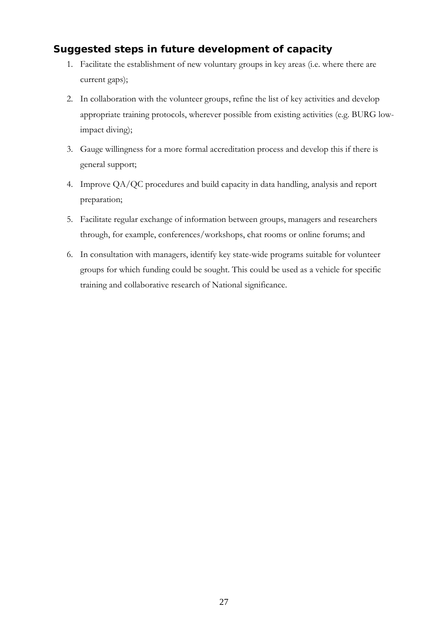## **Suggested steps in future development of capacity**

- 1. Facilitate the establishment of new voluntary groups in key areas (i.e. where there are current gaps);
- 2. In collaboration with the volunteer groups, refine the list of key activities and develop appropriate training protocols, wherever possible from existing activities (e.g. BURG lowimpact diving);
- 3. Gauge willingness for a more formal accreditation process and develop this if there is general support;
- 4. Improve QA/QC procedures and build capacity in data handling, analysis and report preparation;
- 5. Facilitate regular exchange of information between groups, managers and researchers through, for example, conferences/workshops, chat rooms or online forums; and
- 6. In consultation with managers, identify key state-wide programs suitable for volunteer groups for which funding could be sought. This could be used as a vehicle for specific training and collaborative research of National significance.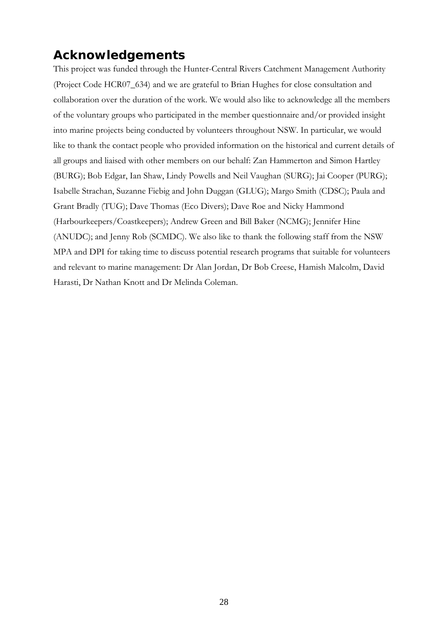# **Acknowledgements**

This project was funded through the Hunter-Central Rivers Catchment Management Authority (Project Code HCR07\_634) and we are grateful to Brian Hughes for close consultation and collaboration over the duration of the work. We would also like to acknowledge all the members of the voluntary groups who participated in the member questionnaire and/or provided insight into marine projects being conducted by volunteers throughout NSW. In particular, we would like to thank the contact people who provided information on the historical and current details of all groups and liaised with other members on our behalf: Zan Hammerton and Simon Hartley (BURG); Bob Edgar, Ian Shaw, Lindy Powells and Neil Vaughan (SURG); Jai Cooper (PURG); Isabelle Strachan, Suzanne Fiebig and John Duggan (GLUG); Margo Smith (CDSC); Paula and Grant Bradly (TUG); Dave Thomas (Eco Divers); Dave Roe and Nicky Hammond (Harbourkeepers/Coastkeepers); Andrew Green and Bill Baker (NCMG); Jennifer Hine (ANUDC); and Jenny Rob (SCMDC). We also like to thank the following staff from the NSW MPA and DPI for taking time to discuss potential research programs that suitable for volunteers and relevant to marine management: Dr Alan Jordan, Dr Bob Creese, Hamish Malcolm, David Harasti, Dr Nathan Knott and Dr Melinda Coleman.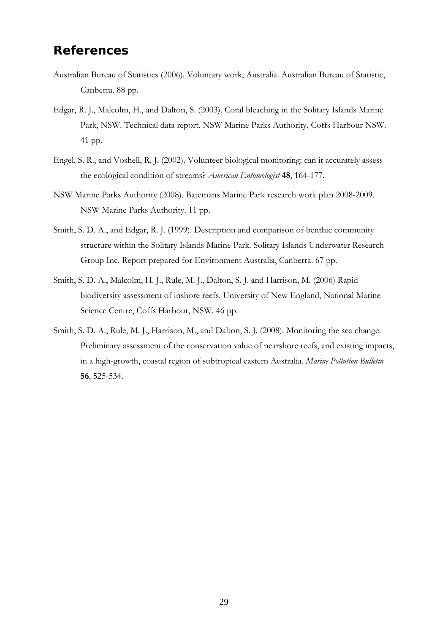## **References**

- Australian Bureau of Statistics (2006). Voluntary work, Australia. Australian Bureau of Statistic, Canberra. 88 pp.
- Edgar, R. J., Malcolm, H., and Dalton, S. (2003). Coral bleaching in the Solitary Islands Marine Park, NSW. Technical data report. NSW Marine Parks Authority, Coffs Harbour NSW. 41 pp.
- Engel, S. R., and Voshell, R. J. (2002). Volunteer biological monitoring: can it accurately assess the ecological condition of streams? *American Entomologist* **48**, 164-177.
- NSW Marine Parks Authority (2008). Batemans Marine Park research work plan 2008-2009. NSW Marine Parks Authority. 11 pp.
- Smith, S. D. A., and Edgar, R. J. (1999). Description and comparison of benthic community structure within the Solitary Islands Marine Park. Solitary Islands Underwater Research Group Inc. Report prepared for Environment Australia, Canberra. 67 pp.
- Smith, S. D. A., Malcolm, H. J., Rule, M. J., Dalton, S. J. and Harrison, M. (2006) Rapid biodiversity assessment of inshore reefs. University of New England, National Marine Science Centre, Coffs Harbour, NSW. 46 pp.
- Smith, S. D. A., Rule, M. J., Harrison, M., and Dalton, S. J. (2008). Monitoring the sea change: Preliminary assessment of the conservation value of nearshore reefs, and existing impacts, in a high-growth, coastal region of subtropical eastern Australia. *Marine Pollution Bulletin* **56**, 525-534.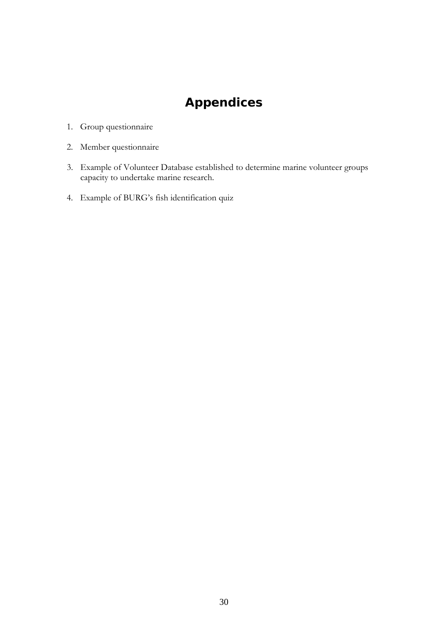# **Appendices**

- 1. Group questionnaire
- 2. Member questionnaire
- 3. Example of Volunteer Database established to determine marine volunteer groups capacity to undertake marine research.
- 4. Example of BURG's fish identification quiz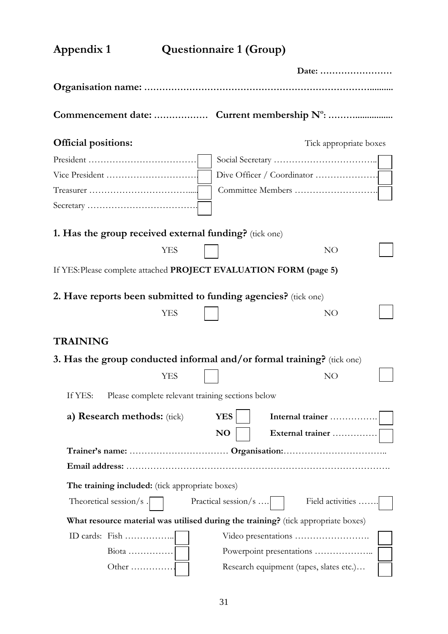| Appendix 1                                                             |            | <b>Questionnaire 1 (Group)</b>                   |                                                                                   |  |
|------------------------------------------------------------------------|------------|--------------------------------------------------|-----------------------------------------------------------------------------------|--|
|                                                                        |            |                                                  | Date:                                                                             |  |
|                                                                        |            |                                                  |                                                                                   |  |
|                                                                        |            |                                                  |                                                                                   |  |
| <b>Official positions:</b>                                             |            |                                                  | Tick appropriate boxes                                                            |  |
|                                                                        |            |                                                  |                                                                                   |  |
|                                                                        |            |                                                  |                                                                                   |  |
|                                                                        |            |                                                  |                                                                                   |  |
|                                                                        |            |                                                  |                                                                                   |  |
| 1. Has the group received external funding? (tick one)                 |            |                                                  |                                                                                   |  |
|                                                                        | <b>YES</b> |                                                  | NO                                                                                |  |
| If YES: Please complete attached PROJECT EVALUATION FORM (page 5)      |            |                                                  |                                                                                   |  |
| 2. Have reports been submitted to funding agencies? (tick one)         |            |                                                  |                                                                                   |  |
|                                                                        | <b>YES</b> |                                                  | NO                                                                                |  |
| <b>TRAINING</b>                                                        |            |                                                  |                                                                                   |  |
| 3. Has the group conducted informal and/or formal training? (tick one) |            |                                                  |                                                                                   |  |
|                                                                        | YES        |                                                  | NO .                                                                              |  |
| If YES:                                                                |            | Please complete relevant training sections below |                                                                                   |  |
| a) Research methods: (tick)                                            |            | <b>YES</b>                                       | Internal trainer                                                                  |  |
|                                                                        |            | N <sub>O</sub>                                   | External trainer                                                                  |  |
|                                                                        |            |                                                  |                                                                                   |  |
| The training included: (tick appropriate boxes)                        |            |                                                  |                                                                                   |  |
| Theoretical session/s $\sqrt{\phantom{a}}$                             |            | Practical session/s $\vert$                      | Field activities                                                                  |  |
|                                                                        |            |                                                  | What resource material was utilised during the training? (tick appropriate boxes) |  |
| ID cards: Fish                                                         |            |                                                  | Video presentations                                                               |  |
| $\text{Biota}$                                                         |            |                                                  |                                                                                   |  |
| Other $\dots\dots\dots\dots\dots$                                      |            |                                                  | Research equipment (tapes, slates etc.)                                           |  |
|                                                                        |            |                                                  |                                                                                   |  |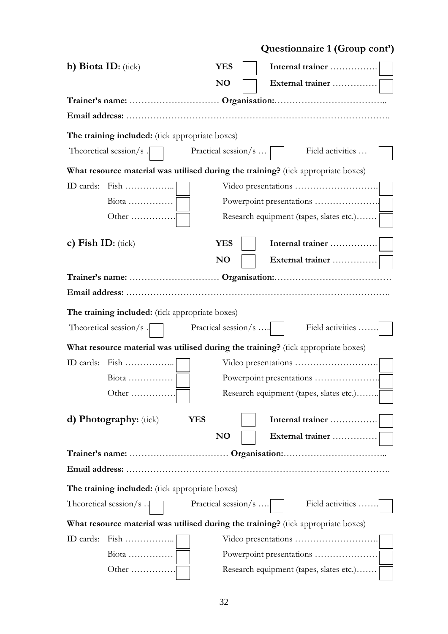|                                                 |                             | Questionnaire 1 (Group cont')                                                     |
|-------------------------------------------------|-----------------------------|-----------------------------------------------------------------------------------|
| b) Biota ID: $(\text{tick})$                    | <b>YES</b>                  | Internal trainer                                                                  |
|                                                 | <b>NO</b>                   | External trainer                                                                  |
|                                                 |                             |                                                                                   |
|                                                 |                             |                                                                                   |
| The training included: (tick appropriate boxes) |                             |                                                                                   |
| Theoretical session/s $\vert$                   | Practical session/s $\dots$ | Field activities                                                                  |
|                                                 |                             | What resource material was utilised during the training? (tick appropriate boxes) |
| ID cards: Fish                                  |                             |                                                                                   |
| $Biota$                                         |                             |                                                                                   |
| Other $\dots\dots\dots\dots\dots$               |                             | Research equipment (tapes, slates etc.)                                           |
|                                                 |                             |                                                                                   |
| c) Fish ID: $(\text{tick})$                     | <b>YES</b>                  |                                                                                   |
|                                                 | <b>NO</b>                   | External trainer                                                                  |
|                                                 |                             |                                                                                   |
|                                                 |                             |                                                                                   |
| The training included: (tick appropriate boxes) |                             |                                                                                   |
| Theoretical session/s $\sqrt{\phantom{a}}$      | Practical session/s $\vert$ | Field activities                                                                  |
|                                                 |                             | What resource material was utilised during the training? (tick appropriate boxes) |
|                                                 |                             |                                                                                   |
| $Biota$                                         |                             |                                                                                   |
| Other $\dots\dots\dots\dots\dots$               |                             | Research equipment (tapes, slates etc.)                                           |
|                                                 |                             |                                                                                   |
| <b>d) Photography:</b> (tick)                   | <b>YES</b>                  | Internal trainer                                                                  |
|                                                 | N <sub>O</sub>              | External trainer                                                                  |
|                                                 |                             |                                                                                   |
|                                                 |                             |                                                                                   |
| The training included: (tick appropriate boxes) |                             |                                                                                   |
| Theoretical session/s $\cdot$                   | Practical session/s $\vert$ | Field activities                                                                  |
|                                                 |                             | What resource material was utilised during the training? (tick appropriate boxes) |
| ID cards:                                       |                             |                                                                                   |
| $Biota$                                         |                             |                                                                                   |
| Other                                           |                             | Research equipment (tapes, slates etc.)                                           |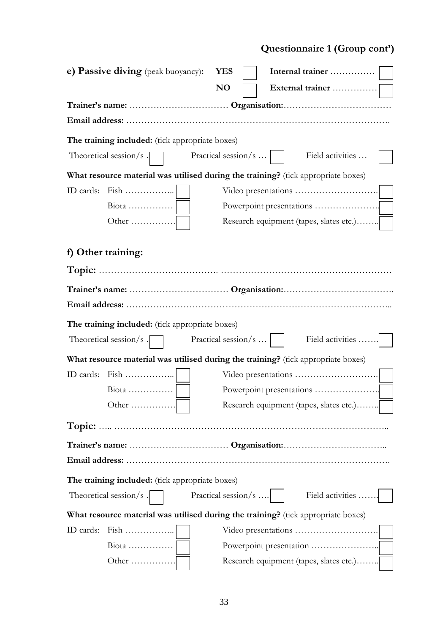# **Questionnaire 1 (Group cont')**

| e) Passive diving (peak buoyancy):              | <b>YES</b>                                                                        |                  |
|-------------------------------------------------|-----------------------------------------------------------------------------------|------------------|
|                                                 | N <sub>O</sub>                                                                    | External trainer |
|                                                 |                                                                                   |                  |
|                                                 |                                                                                   |                  |
| The training included: (tick appropriate boxes) |                                                                                   |                  |
| Theoretical session/s $\sqrt{\phantom{a}}$      | Practical session/s $\dots$                                                       | Field activities |
|                                                 | What resource material was utilised during the training? (tick appropriate boxes) |                  |
| ID cards: Fish                                  |                                                                                   |                  |
| $\text{Biota}$                                  |                                                                                   |                  |
| Other $\dots\dots\dots\dots\dots$               | Research equipment (tapes, slates etc.)                                           |                  |
| f) Other training:                              |                                                                                   |                  |
|                                                 |                                                                                   |                  |
|                                                 |                                                                                   |                  |
|                                                 |                                                                                   |                  |
|                                                 |                                                                                   |                  |
| The training included: (tick appropriate boxes) |                                                                                   |                  |
| Theoretical session/s $\vert$                   | Practical session/s $\dots$                                                       | Field activities |
|                                                 | What resource material was utilised during the training? (tick appropriate boxes) |                  |
| ID cards: Fish                                  |                                                                                   |                  |
| $Biota$                                         | Powerpoint presentations                                                          |                  |
|                                                 | Research equipment (tapes, slates etc.)                                           |                  |
|                                                 |                                                                                   |                  |
|                                                 |                                                                                   |                  |
|                                                 |                                                                                   |                  |
| The training included: (tick appropriate boxes) |                                                                                   |                  |
| Theoretical session/s . $\vert$                 | Practical session/s $\vert$                                                       | Field activities |
|                                                 | What resource material was utilised during the training? (tick appropriate boxes) |                  |
| $Fixh$<br>ID cards:                             |                                                                                   |                  |
| $\text{Biota}$                                  |                                                                                   |                  |
| Other                                           | Research equipment (tapes, slates etc.)                                           |                  |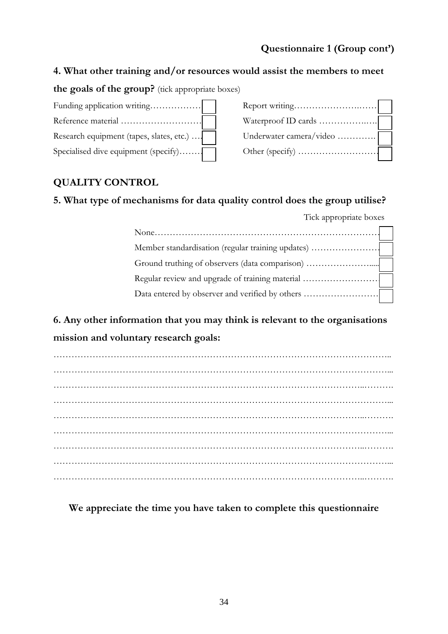## **Questionnaire 1 (Group cont')**

## **4. What other training and/or resources would assist the members to meet**

**the goals of the group?** (tick appropriate boxes)

| Funding application writing              |                         |
|------------------------------------------|-------------------------|
|                                          |                         |
| Research equipment (tapes, slates, etc.) | Underwater camera/video |
| Specialised dive equipment (specify)     |                         |

| Underwater camera/video |  |
|-------------------------|--|
|                         |  |

## **QUALITY CONTROL**

## **5. What type of mechanisms for data quality control does the group utilise?**

Tick appropriate boxes

| Regular review and upgrade of training material |  |
|-------------------------------------------------|--|
|                                                 |  |

**6. Any other information that you may think is relevant to the organisations mission and voluntary research goals:**

**We appreciate the time you have taken to complete this questionnaire**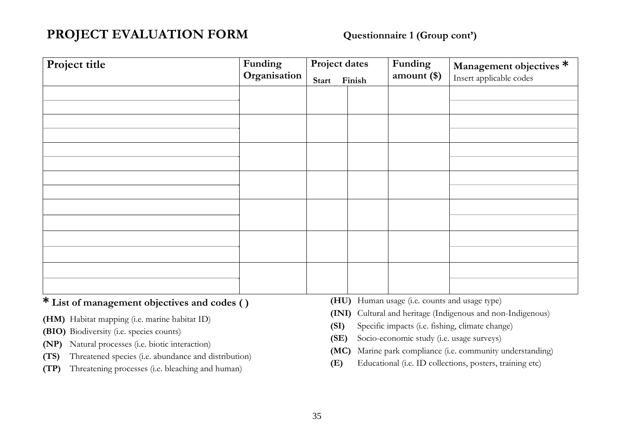# **PROJECT EVALUATION FORM Questionnaire 1 (Group cont')**

| Project title | Funding<br>Organisation | Start | Project dates<br>Finish | Funding<br>amount $(\$)$ | Management objectives *<br>Insert applicable codes |  |  |  |  |
|---------------|-------------------------|-------|-------------------------|--------------------------|----------------------------------------------------|--|--|--|--|
|               |                         |       |                         |                          |                                                    |  |  |  |  |
|               |                         |       |                         |                          |                                                    |  |  |  |  |
|               |                         |       |                         |                          |                                                    |  |  |  |  |
|               |                         |       |                         |                          |                                                    |  |  |  |  |
|               |                         |       |                         |                          |                                                    |  |  |  |  |
|               |                         |       |                         |                          |                                                    |  |  |  |  |
|               |                         |       |                         |                          |                                                    |  |  |  |  |
|               |                         |       |                         |                          |                                                    |  |  |  |  |

## **\* List of management objectives and codes ( )**

- **(HM)** Habitat mapping (i.e. marine habitat ID)
- **(BIO)** Biodiversity (i.e. species counts)
- **(NP)** Natural processes (i.e. biotic interaction)
- **(TS)** Threatened species (i.e. abundance and distribution)
- **(TP)** Threatening processes (i.e. bleaching and human)
- **(HU)** Human usage (i.e. counts and usage type)
- **(INI)** Cultural and heritage (Indigenous and non-Indigenous)
- **(SI)** Specific impacts (i.e. fishing, climate change)
- **(SE)** Socio-economic study (i.e. usage surveys)
- **(MC)** Marine park compliance (i.e. community understanding)
- **(E)** Educational (i.e. ID collections, posters, training etc)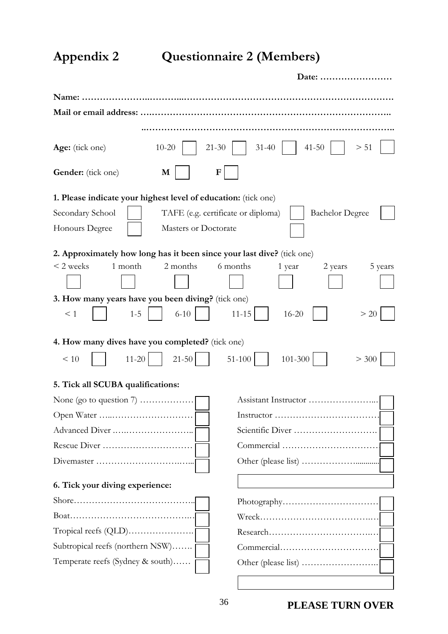**Appendix 2 Questionnaire 2 (Members)** 

|                                                                        |                      | Date:                                                        |
|------------------------------------------------------------------------|----------------------|--------------------------------------------------------------|
|                                                                        |                      |                                                              |
| Mail or email address:                                                 |                      |                                                              |
|                                                                        |                      |                                                              |
| Age: (tick one)                                                        | $10 - 20$            | $31 - 40$<br>$21 - 30$<br>$41 - 50$<br>> 51                  |
| Gender: (tick one)                                                     | M                    | F                                                            |
| 1. Please indicate your highest level of education: (tick one)         |                      |                                                              |
| Secondary School                                                       |                      | TAFE (e.g. certificate or diploma)<br><b>Bachelor Degree</b> |
| Honours Degree                                                         | Masters or Doctorate |                                                              |
| 2. Approximately how long has it been since your last dive? (tick one) |                      |                                                              |
| 1 month<br>$<$ 2 weeks                                                 | 2 months             | 6 months<br>5 years<br>1 year<br>2 years                     |
|                                                                        |                      |                                                              |
| 3. How many years have you been diving? (tick one)                     |                      |                                                              |
| $\leq 1$<br>$1 - 5$                                                    | $6 - 10$             | $11 - 15$<br>> 20<br>$16 - 20$                               |
| 4. How many dives have you completed? (tick one)                       |                      |                                                              |
| < 10<br>$11 - 20$                                                      | $21 - 50$            | 51-100<br>101-300<br>> 300                                   |
| 5. Tick all SCUBA qualifications:                                      |                      |                                                              |
| None (go to question $7)$                                              |                      | Assistant Instructor                                         |
|                                                                        |                      |                                                              |
| Advanced Diver                                                         |                      |                                                              |
| Rescue Diver                                                           |                      |                                                              |
|                                                                        |                      |                                                              |
| 6. Tick your diving experience:                                        |                      |                                                              |
|                                                                        |                      |                                                              |
|                                                                        |                      |                                                              |
| $Tropical reefs (QLD) \dots \dots \dots \dots \dots \dots$             |                      |                                                              |
| Subtropical reefs (northern NSW)                                       |                      |                                                              |
| Temperate reefs (Sydney & south)                                       |                      |                                                              |
|                                                                        |                      |                                                              |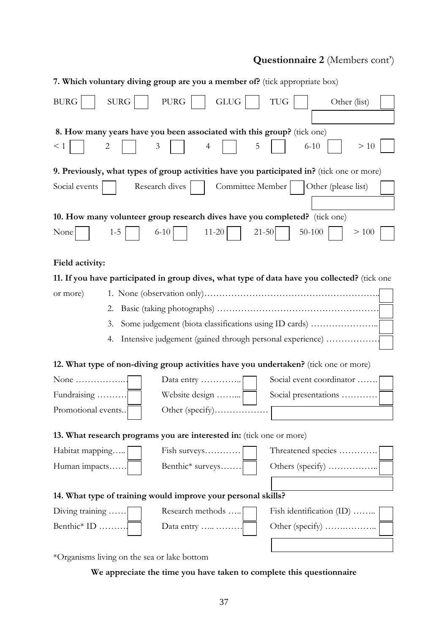## **Questionnaire 2** (Members cont')

|                                                                                            | 7. Which voluntary diving group are you a member of? (tick appropriate box)          |                                                                                              |  |  |  |  |  |  |
|--------------------------------------------------------------------------------------------|--------------------------------------------------------------------------------------|----------------------------------------------------------------------------------------------|--|--|--|--|--|--|
| <b>SURG</b><br><b>BURG</b>                                                                 | $\rm PURG$<br><b>GLUG</b>                                                            | TUG<br>Other (list)                                                                          |  |  |  |  |  |  |
|                                                                                            | 8. How many years have you been associated with this group? (tick one)               |                                                                                              |  |  |  |  |  |  |
| $\leq 1$<br>2                                                                              | 3<br>$\overline{4}$                                                                  | $6 - 10$<br>>10<br>5                                                                         |  |  |  |  |  |  |
| 9. Previously, what types of group activities have you participated in? (tick one or more) |                                                                                      |                                                                                              |  |  |  |  |  |  |
| Social events                                                                              | Committee Member<br>Research dives                                                   | Other (please list)                                                                          |  |  |  |  |  |  |
|                                                                                            |                                                                                      |                                                                                              |  |  |  |  |  |  |
| 10. How many volunteer group research dives have you completed? (tick one)                 |                                                                                      |                                                                                              |  |  |  |  |  |  |
| $1 - 5$<br>None                                                                            | $6-10$<br>$11 - 20$                                                                  | $21 - 50$<br>$50 - 100$<br>>100                                                              |  |  |  |  |  |  |
| Field activity:                                                                            |                                                                                      |                                                                                              |  |  |  |  |  |  |
|                                                                                            |                                                                                      |                                                                                              |  |  |  |  |  |  |
|                                                                                            |                                                                                      | 11. If you have participated in group dives, what type of data have you collected? (tick one |  |  |  |  |  |  |
| or more)                                                                                   |                                                                                      |                                                                                              |  |  |  |  |  |  |
| 2.                                                                                         |                                                                                      |                                                                                              |  |  |  |  |  |  |
| Some judgement (biota classifications using ID cards)<br>3.                                |                                                                                      |                                                                                              |  |  |  |  |  |  |
| 4.                                                                                         | Intensive judgement (gained through personal experience)                             |                                                                                              |  |  |  |  |  |  |
|                                                                                            | 12. What type of non-diving group activities have you undertaken? (tick one or more) |                                                                                              |  |  |  |  |  |  |
| None $\dots\dots\dots\dots\dots\dots$                                                      | Data entry                                                                           | Social event coordinator                                                                     |  |  |  |  |  |  |
| Fundraising                                                                                | Website design                                                                       | Social presentations                                                                         |  |  |  |  |  |  |
| Promotional events                                                                         | Other (specify)                                                                      |                                                                                              |  |  |  |  |  |  |
| 13. What research programs you are interested in: (tick one or more)                       |                                                                                      |                                                                                              |  |  |  |  |  |  |
| Habitat mapping                                                                            | Fish surveys                                                                         | Threatened species                                                                           |  |  |  |  |  |  |
| Human impacts                                                                              | Benthic* surveys                                                                     | Others (specify)                                                                             |  |  |  |  |  |  |
|                                                                                            |                                                                                      |                                                                                              |  |  |  |  |  |  |
| 14. What type of training would improve your personal skills?                              |                                                                                      |                                                                                              |  |  |  |  |  |  |
| Diving training                                                                            | Research methods                                                                     | Fish identification (ID)                                                                     |  |  |  |  |  |  |
| Benthic* ID                                                                                | Data entry                                                                           |                                                                                              |  |  |  |  |  |  |
| $*Otransi =$ living on the see or lely bottom                                              |                                                                                      |                                                                                              |  |  |  |  |  |  |

\*Organisms living on the sea or lake bottom

## **We appreciate the time you have taken to complete this questionnaire**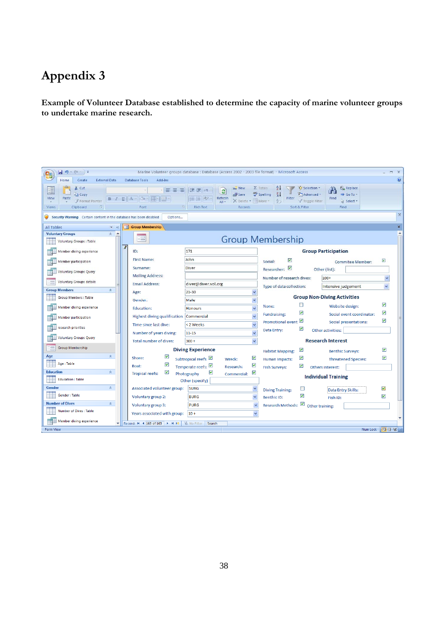# **Appendix 3**

**Example of Volunteer Database established to determine the capacity of marine volunteer groups to undertake marine research.** 

| $-3 - (4 - 7)$<br>Marine Volunteer groups database : Database (Access 2002 - 2003 file format) - Microsoft Access<br>$\mathbf{Q}_3$ |                                                                     |                                                                                                                              |                                                                                                                                                  |                                                   |  |  |  |  |
|-------------------------------------------------------------------------------------------------------------------------------------|---------------------------------------------------------------------|------------------------------------------------------------------------------------------------------------------------------|--------------------------------------------------------------------------------------------------------------------------------------------------|---------------------------------------------------|--|--|--|--|
| $\odot$<br>Home<br>Create<br><b>External Data</b><br><b>Database Tools</b><br>Add-Ins                                               |                                                                     |                                                                                                                              |                                                                                                                                                  |                                                   |  |  |  |  |
| do Cut<br><b>En Copy</b><br>View<br>Paste<br>$B$ $I$ $U$ $A$ $\rightarrow$<br>Format Painter                                        | ・  事 事 理                                                            | $\equiv$ New<br>建建物<br>e <sub>2</sub><br><sub>=</sub> od Save<br>Refresh<br>仨 三 <sup>42</sup><br>X Delete + HMore<br>$All -$ | $\frac{A}{2}$<br>V Selection *<br>$\Sigma$ Totals<br>$\frac{Z}{A}$<br>Spelling<br>Advanced -<br>Filter<br>Find<br>$rac{A}{2}$<br>Y Toggle Filter | all Replace<br>Go To *<br>Select -                |  |  |  |  |
| Clipboard<br>$\overline{\mathbb{F}_2}$<br><b>Views</b>                                                                              | Font                                                                | <b>Rich Text</b><br>Records                                                                                                  | Sort & Filter                                                                                                                                    | Find                                              |  |  |  |  |
| $\chi$<br>Security Warning Certain content in the database has been disabled<br>Options                                             |                                                                     |                                                                                                                              |                                                                                                                                                  |                                                   |  |  |  |  |
| $\boldsymbol{\mathsf{x}}$<br><b>EB</b> Group Membership<br>All Tables<br>$x - y$                                                    |                                                                     |                                                                                                                              |                                                                                                                                                  |                                                   |  |  |  |  |
| <b>Voluntary Groups</b><br>$\hat{\mathbf{x}}$<br><b>A</b><br>EE.                                                                    |                                                                     |                                                                                                                              |                                                                                                                                                  |                                                   |  |  |  |  |
| <b>Voluntary Groups: Table</b>                                                                                                      | <b>Group Membership</b>                                             |                                                                                                                              |                                                                                                                                                  |                                                   |  |  |  |  |
| $\beta$<br>Member diving experience                                                                                                 | 171<br>ID:                                                          |                                                                                                                              | <b>Group Participation</b>                                                                                                                       |                                                   |  |  |  |  |
| Member participation                                                                                                                | <b>First Name:</b>                                                  | John                                                                                                                         | ☑<br>Social:                                                                                                                                     | ☑<br><b>Commitee Member:</b>                      |  |  |  |  |
| <b>Voluntary Groups Query</b>                                                                                                       | Surname:                                                            | Diver                                                                                                                        | ⊻<br>Researcher:<br>Other (list):                                                                                                                |                                                   |  |  |  |  |
|                                                                                                                                     | <b>Mailing Address:</b>                                             |                                                                                                                              | Number of research dives:<br>$100+$                                                                                                              | ×                                                 |  |  |  |  |
| <b>Voluntary Groups details</b><br><b>Email Address:</b>                                                                            |                                                                     | diver@diver.vol.org                                                                                                          | Type of data collection:<br>Intensive judgement                                                                                                  | $\checkmark$                                      |  |  |  |  |
| <b>Group Members</b><br>$\hat{\mathbf{x}}$                                                                                          | Age:                                                                | $21 - 30$<br>$\checkmark$                                                                                                    |                                                                                                                                                  |                                                   |  |  |  |  |
| Group Members : Table                                                                                                               | Gender:                                                             | $\checkmark$<br>Male                                                                                                         | <b>Group Non-Diving Activities</b>                                                                                                               |                                                   |  |  |  |  |
| Member diving experience                                                                                                            | <b>Education:</b>                                                   | $\ddot{\mathbf{v}}$<br><b>Honours</b>                                                                                        | □<br>None:                                                                                                                                       | ▽<br>Website design:                              |  |  |  |  |
| Member participation                                                                                                                | Highest diving qualification:                                       | $\ddot{\phantom{1}}$<br>Commercial                                                                                           | ☑<br><b>Fundraising:</b>                                                                                                                         | $\blacktriangledown$<br>Social event coordinator: |  |  |  |  |
| Time since last dive:<br>research priorities                                                                                        |                                                                     | $\ddotmark$<br><2 Weeks                                                                                                      | ☑<br><b>Promotional event</b>                                                                                                                    | $\blacktriangledown$<br>Social presentations:     |  |  |  |  |
|                                                                                                                                     | Number of years diving:                                             | $\ddotmark$<br>$11 - 15$                                                                                                     | ☑<br>Data Entry:<br>Other activities:                                                                                                            |                                                   |  |  |  |  |
| <b>Voluntary Groups Query</b>                                                                                                       | <b>Total number of dives:</b>                                       | $\ddotmark$<br>$300 +$                                                                                                       | <b>Research Interest</b>                                                                                                                         |                                                   |  |  |  |  |
| <b>Group Membership</b>                                                                                                             | <b>Diving Experience</b>                                            |                                                                                                                              | ⊻<br><b>Habitat Mapping:</b>                                                                                                                     | ▽<br><b>Benthic Surveys:</b>                      |  |  |  |  |
| Age<br>交                                                                                                                            | ☑<br>Shore:                                                         | ☑<br>Subtropical reefs<br>Wreck:                                                                                             | ☑<br><b>Human Impacts:</b>                                                                                                                       | ☑<br><b>Threatened Species:</b>                   |  |  |  |  |
| Age: Table                                                                                                                          | ☑<br>Boat:                                                          | ▽<br>Temperate reefs:<br>Research:                                                                                           | ☑<br><b>Fish Surveys:</b><br>Others interest:                                                                                                    |                                                   |  |  |  |  |
| <b>Education</b><br>交                                                                                                               | ▽<br>▽<br>☑<br><b>Tropical reefs:</b><br>Photography<br>Commercial: |                                                                                                                              |                                                                                                                                                  |                                                   |  |  |  |  |
| <b>Education: Table</b>                                                                                                             | Other (specify)                                                     |                                                                                                                              | <b>Individual Training</b>                                                                                                                       |                                                   |  |  |  |  |
| $\hat{\mathbf{x}}$<br>Gender                                                                                                        | Associated volunteer group:                                         | <b>SURG</b><br>$\checkmark$                                                                                                  | ⊔<br><b>Diving Training:</b>                                                                                                                     | ☑<br>Data Entry Skills:                           |  |  |  |  |
| Gender: Table                                                                                                                       | Voluntary group 2:                                                  | $\ddot{\phantom{1}}$<br><b>BURG</b>                                                                                          | ▽<br><b>Benthic ID:</b><br>Fish ID:                                                                                                              | ▽                                                 |  |  |  |  |
| <b>Number of Dives</b><br>交                                                                                                         | $\ddotmark$<br>Voluntary group 3:<br><b>PURG</b>                    |                                                                                                                              | Research Methods:<br>Other training:                                                                                                             |                                                   |  |  |  |  |
| <b>Number of Dives: Table</b>                                                                                                       | Years associated with group:<br>$10+$<br>$\checkmark$               |                                                                                                                              |                                                                                                                                                  |                                                   |  |  |  |  |
| Member diving experience<br>Record: H + 163 of 163 ▶ H H3<br><b>W</b> No Filter<br>Search<br>÷                                      |                                                                     |                                                                                                                              |                                                                                                                                                  |                                                   |  |  |  |  |
| <b>Form View</b>                                                                                                                    |                                                                     |                                                                                                                              |                                                                                                                                                  | 同日と<br>Num Lock                                   |  |  |  |  |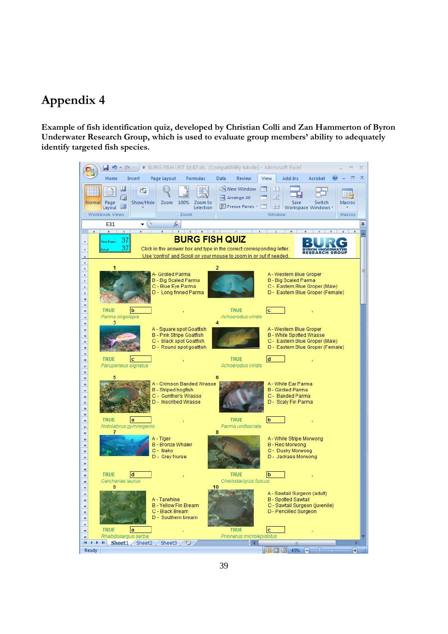## **Appendix 4**

**Example of fish identification quiz, developed by Christian Colli and Zan Hammerton of Byron Underwater Research Group, which is used to evaluate group members' ability to adequately identify targeted fish species.**